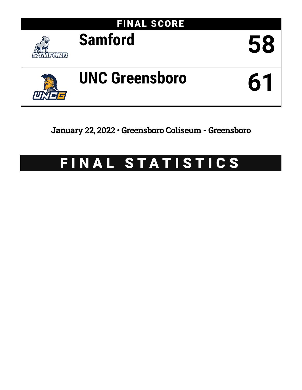

January 22, 2022 • Greensboro Coliseum - Greensboro

# FINAL STATISTICS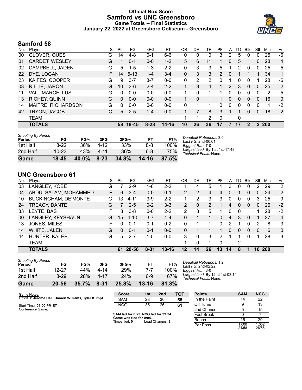## **Official Box Score Samford vs UNC Greensboro Game Totals -- Final Statistics January 22, 2022 at Greensboro Coliseum - Greensboro**



# **Samford 58**

| No. | Player                 | S  | <b>Pts</b> | FG       | 3FG      | FT      | OR | DR | TR | PF            | A              | TO | <b>B</b> lk | Stl          | Min  | $+/-$          |
|-----|------------------------|----|------------|----------|----------|---------|----|----|----|---------------|----------------|----|-------------|--------------|------|----------------|
| 00  | GLOVER, QUES           | G  | 14         | $4 - 8$  | $0 - 1$  | $6-6$   | 0  | 0  | 0  | 3             | 2              | 5  | 0           | 0            | 25   | -6             |
| 01  | CARDET, WESLEY         | G  |            | $0 - 1$  | $0 - 0$  | $1 - 2$ | 5  | 6  | 11 |               | 0              | 5  |             | 0            | 28   | $\overline{4}$ |
| 02  | CAMPBELL, JADEN        | G  | 5          | $1 - 5$  | 1-3      | $2 - 2$ | 0  | 3  | 3  | 5             |                | 2  | 0           | 0            | 25   | -5             |
| 22  | DYE, LOGAN             | F. | 14         | $5 - 13$ | $1 - 4$  | $3 - 4$ | 0  | 3  | 3  | $\mathcal{P}$ | 0              |    |             |              | 34   | 1              |
| 23  | KAIFES, COOPER         | G  | 9          | $3 - 7$  | $3 - 7$  | $0 - 0$ | 0  | 2  | 2  | 0             |                | 0  | $\Omega$    | 1            | 28   | -6             |
| 03  | RILLIE, JARON          | G  | 10         | $3-6$    | $2 - 4$  | $2 - 2$ |    | 3  | 4  | 1             | $\overline{2}$ | 3  | $\Omega$    | $\Omega$     | 25   | 2              |
| 11  | <b>VAIL, MARCELLUS</b> | G  | 0          | $0 - 0$  | $0 - 0$  | $0 - 0$ |    | 0  |    |               | 0              | 0  | $\Omega$    | 0            | 2    | -5             |
| 13  | <b>RICHEY, QUINN</b>   | G  | $\Omega$   | $0 - 0$  | $0 - 0$  | $0 - 0$ |    | 0  |    |               | $\mathbf{0}$   | 0  | $\Omega$    | $\mathbf{0}$ | 16   | $\Omega$       |
| 14  | MAITRE, RICHARDSON     | G  | 0          | $0 - 0$  | $0 - 0$  | $0 - 0$ | 0  | 1  |    | 0             | 0              | 0  | $\Omega$    | 0            | 1    | $-2$           |
| 42  | TRYON, JACOB           | С  | 5          | $2 - 5$  | $1 - 4$  | $0 - 0$ |    |    | 8  | 3             |                |    | $\Omega$    | 0            | 18   | 2              |
|     | TEAM                   |    |            |          |          |         |    | 1  | 2  | $\mathbf 0$   |                | 0  |             |              |      |                |
|     | <b>TOTALS</b>          |    | 58         | 18-45    | $8 - 23$ | 14-16   | 10 | 26 | 36 | 17            |                | 17 | 2           | 2            | -200 |                |

| <b>Shooting By Period</b><br>Period | FG        | FG%      | 3FG      | 3FG%  | FT        | FT%   | Deadball Rebounds: 3,0<br>Last FG: 2nd-00:01              |
|-------------------------------------|-----------|----------|----------|-------|-----------|-------|-----------------------------------------------------------|
| 1st Half                            | $8-22$    | 36%      | 4-12     | 33%   | 8-8       | 100%  | Biagest Run: 7-0                                          |
| 2nd Half                            | $10 - 23$ | 43%      | $4 - 11$ | 36%   | $6 - 8$   | 75%   | Largest lead: By 1 at 1st-17:48<br>Technical Fouls: None. |
| Game                                | $18 - 45$ | $40.0\%$ | $8 - 23$ | 34.8% | $14 - 16$ | 87.5% |                                                           |

# **UNC Greensboro 61**

| No. | Player                      | S  | Pts | FG       | 3FG      | FT        | 0R            | DR            | TR | PF       | A  | TO | <b>B</b> lk  | Stl      | Min        | $+/-$          |
|-----|-----------------------------|----|-----|----------|----------|-----------|---------------|---------------|----|----------|----|----|--------------|----------|------------|----------------|
| 03  | LANGLEY, KOBE               | G  |     | $2 - 9$  | 1-6      | $2 - 2$   |               | 4             | 5  |          | 3  | 0  | 0            | 2        | 29         | $\overline{2}$ |
| 04  | ABDULSALAM, MOHAMMED        | F. | 6   | $3 - 4$  | $0 - 0$  | $0 - 1$   | 2             | $\mathcal{P}$ | 4  | 4        | 0  |    | $\mathbf{0}$ | $\Omega$ | 24         | $-2$           |
| 10  | <b>BUCKINGHAM, DE'MONTE</b> | G  | 13  | $4 - 11$ | $3-9$    | $2 - 2$   | 1             | 2             | 3  | 3        | 0  | 0  | 0            | 3        | 25         | 9              |
| 24  | TREACY, DANTE               | G  |     | $2 - 5$  | $0 - 2$  | $3 - 3$   | $\mathcal{P}$ | $\Omega$      | 2  |          | 4  | 0  | $\Omega$     | $\Omega$ | 26         | $-2$           |
| 33  | LEYTE, BAS                  | F  | 8   | $3 - 8$  | $0 - 0$  | $2 - 2$   | 2             | 3             | 5  |          | 0  | 0  |              |          | 28         | $-2$           |
| 00  | LANGLEY, KEYSHAUN           | G  | 15  | $4 - 10$ | $3 - 7$  | $4 - 4$   | 0             |               |    | 0        | 4  | 3  | $\mathbf{0}$ |          | 27         | 4              |
| 13  | JONES, MILES                | F. | 0   | $0 - 1$  | $0 - 1$  | $0 - 2$   | 0             |               |    | 0        | 2  |    | 0            | 2        | 8          | 3              |
| 14  | WHITE, JALEN                | G  | 0   | $0 - 1$  | $0 - 1$  | $0 - 0$   | 0             |               |    |          | 0  | 0  | 0            | $\Omega$ | 6          | $\mathbf{0}$   |
| 44  | HUNTER, KALEB               | G  | 5.  | $2 - 7$  | 1-5      | $0 - 0$   | 3             | 0             | 3  | 2        |    |    | 0            |          | 28         | 3              |
|     | <b>TEAM</b>                 |    |     |          |          |           | 1             | $\Omega$      |    | $\Omega$ |    | 2  |              |          |            |                |
|     | <b>TOTALS</b>               |    | 61. | 20-56    | $8 - 31$ | $13 - 16$ | 12            | 14            | 26 | 13       | 14 | 8  | 1            | 10       | <b>200</b> |                |

| Game                                | 20-56    | 35.7% | 8-31 | 25.8% | $13 - 16$ | 81.3% |  |
|-------------------------------------|----------|-------|------|-------|-----------|-------|--|
| 2nd Half                            | $8 - 29$ | 28%   | 4-17 | 24%   | 6-9       | 67%   |  |
| 1st Half                            | 12-27    | 44%   | 4-14 | 29%   | 7-7       | 100%  |  |
| <b>Shooting By Period</b><br>Period | FG       | FG%   | 3FG  | 3FG%  | FT        | FT%   |  |

*Deadball Rebounds:* 1,2 *Last FG:* 2nd-02:22 *Biggest Run:* 8-0 *Largest lead:* By 12 at 1st-03:14 *Technical Fouls:* None.

| Game Notes:                                         | <b>Score</b> | 1st | 2nd | <b>TOT</b>     | <b>Points</b>    | <b>SAM</b> | <b>NCG</b> |
|-----------------------------------------------------|--------------|-----|-----|----------------|------------------|------------|------------|
| Officials: Jerome Hall, Damon Williams, Tyler Kumpf | SAM          | 28  | 30  | 58             | In the Paint     |            | co         |
| Start Time: 05:00 PM ET                             | <b>NCG</b>   | つよ  | 26  | 6 <sup>′</sup> | <b>Off Turns</b> |            |            |
| Conference Game:                                    |              |     |     |                | 2nd Chance       |            |            |

**SAM led for 0:23. NCG led for 39:34. Game was tied for 0:04.** Times tied: **0** Lead Changes: **2**

| <b>Points</b>     | SAM            | NCG            |
|-------------------|----------------|----------------|
| In the Paint      | 14             | 22             |
| Off Turns         | 9              | 13             |
| 2nd Chance        | 5              | 15             |
| <b>Fast Break</b> | 0              |                |
| Bench             | 15             | 20             |
| Per Poss          | 1.000<br>24/58 | 1.052<br>26/58 |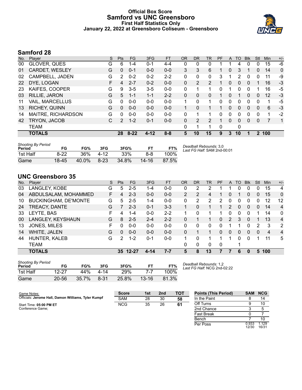#### **Official Box Score Samford vs UNC Greensboro First Half Statistics Only January 22, 2022 at Greensboro Coliseum - Greensboro**



# **Samford 28**

| No. | Plaver                 | S  | <b>Pts</b>    | FG       | 3FG      | <b>FT</b> | <b>OR</b> | <b>DR</b> | TR            | PF | A        | <b>TO</b> | <b>B</b> lk | Stl          | Min   | $+/-$       |
|-----|------------------------|----|---------------|----------|----------|-----------|-----------|-----------|---------------|----|----------|-----------|-------------|--------------|-------|-------------|
| 00  | GLOVER, QUES           | G  | 6             | $1 - 4$  | $0 - 1$  | $4 - 4$   | 0         | 0         | 0             |    |          | 4         | 0           | 0            | 15    | -6          |
| 01  | CARDET, WESLEY         | G  | $\Omega$      | $0 - 1$  | $0 - 0$  | $0 - 0$   | 3         | 3         | 6             |    | 0        | 3         |             | 0            | 14    | $\mathbf 0$ |
| 02  | CAMPBELL, JADEN        | G  | 2             | $0 - 2$  | $0 - 2$  | $2 - 2$   | 0         | 0         | 0             | 3  | 1        | 2         | 0           | 0            | 11    | -9          |
| 22  | DYE, LOGAN             | F. | 4             | $2 - 7$  | $0 - 2$  | $0 - 0$   | 0         | 2         | 2             | 1  | 0        | 0         | $\Omega$    | 1            | 16    | $-3$        |
| 23  | KAIFES, COOPER         | G  | 9             | $3-5$    | $3 - 5$  | $0 - 0$   | 0         | 1         |               | 0  | 1        | 0         | 0           |              | 16    | -5          |
| 03  | RILLIE, JARON          | G  | 5             | $1 - 1$  | $1 - 1$  | $2 - 2$   | 0         | 0         | 0             |    | 0        |           | 0           | $\mathbf{0}$ | 12    | $-3$        |
| 11  | <b>VAIL, MARCELLUS</b> | G  | $\Omega$      | $0-0$    | $0 - 0$  | $0 - 0$   | 1         | 0         |               | 0  | 0        | 0         | 0           | 0            | 1     | -5          |
| 13  | RICHEY, QUINN          | G  | $\Omega$      | $0 - 0$  | $0 - 0$  | $0 - 0$   | 1         | 0         |               | 1  | 0        | 0         | $\Omega$    | 0            | 6     | -3          |
| 14  | MAITRE, RICHARDSON     | G  | 0             | $0 - 0$  | $0 - 0$  | $0 - 0$   | $\Omega$  | 1         |               | 0  | 0        | 0         | 0           | 0            | 1     | $-2$        |
| 42  | TRYON, JACOB           | С  | $\mathcal{P}$ | $1 - 2$  | $0 - 1$  | $0 - 0$   | $\Omega$  | 2         | $\mathcal{P}$ | 1  | $\Omega$ | $\Omega$  | $\Omega$    | 0            | 7     | 1           |
|     | <b>TEAM</b>            |    |               |          |          |           | 0         | 1         | 1             | 0  |          | 0         |             |              |       |             |
|     | <b>TOTALS</b>          |    | 28            | $8 - 22$ | $4 - 12$ | $8 - 8$   | 5.        | 10        | 15            | 9  | 3        | 10        |             |              | 2 100 |             |
|     |                        |    |               |          |          |           |           |           |               |    |          |           |             |              |       |             |

| <b>Shooting By Period</b><br>Period | FG     | FG%   | 3FG      | 3FG%  |           | FT%   | Deadball Rebounds: 3,0<br>Last FG Half: SAM 2nd-00:01 |
|-------------------------------------|--------|-------|----------|-------|-----------|-------|-------------------------------------------------------|
| 1st Half                            | $8-22$ | 36%   | 4-12     | 33%   | 8-8       | 100%  |                                                       |
| Game                                | 18-45  | 40.0% | $8 - 23$ | 34.8% | $14 - 16$ | 87.5% |                                                       |

# **UNC Greensboro 35**

|                             | S      | <b>Pts</b>    | <b>FG</b> | 3FG      | <b>FT</b> | <b>OR</b>      | DR       | TR       | PF       | A        | TO | <b>B</b> lk  | Stl      | Min                     | $+/-$          |
|-----------------------------|--------|---------------|-----------|----------|-----------|----------------|----------|----------|----------|----------|----|--------------|----------|-------------------------|----------------|
| LANGLEY, KOBE               | G      | 5.            | $2 - 5$   | 1-4      | $0 - 0$   | 0              | 2        | າ        |          |          | 0  | 0            | $\Omega$ | 15                      | 4              |
| ABDULSALAM, MOHAMMED        | F      | 4             | $2 - 3$   | $0 - 0$  | $0 - 0$   | $\overline{2}$ | 2        | 4        |          | 0        |    | $\mathbf{0}$ | 0        | 15                      | $\mathbf{0}$   |
| <b>BUCKINGHAM, DE'MONTE</b> | G      | 5.            | $2 - 5$   | 1-4      | $0 - 0$   | 0              | 2        | 2        | 2        | 0        | 0  | 0            | $\Omega$ | 12                      | 12             |
| TREACY, DANTE               | G      | 7             | $2 - 3$   | $0 - 1$  | $3 - 3$   |                | 0        |          |          | 2        | 0  | $\mathbf{0}$ | $\Omega$ | 14                      | 4              |
| LEYTE, BAS                  | F      | 4             | $1 - 4$   | $0 - 0$  | $2 - 2$   | 1              | $\Omega$ |          | 1        | $\Omega$ | 0  | $\Omega$     |          | 14                      | $\mathbf{0}$   |
| LANGLEY, KEYSHAUN           | G      | 8             | $2 - 5$   | $2 - 4$  | $2 - 2$   | 0              |          |          | $\Omega$ | 2        | 3  | $\mathbf{0}$ |          | 13                      | $\overline{4}$ |
| JONES, MILES                | F      | 0             | $0-0$     | $0 - 0$  | $0 - 0$   | 0              | 0        | $\Omega$ | $\Omega$ | 1        |    | 0            | 2        | 3                       | 2              |
| WHITE, JALEN                | G      | 0             | $0 - 0$   | $0 - 0$  | $0 - 0$   | 0              |          |          | 0        | 0        | 0  | $\Omega$     | $\Omega$ | $\overline{\mathbf{4}}$ | $\overline{4}$ |
| HUNTER, KALEB               | G      | $\mathcal{P}$ | $1 - 2$   | 0-1      | $0 - 0$   |                | 0        |          |          | 1        | 0  | 0            |          | 11                      | 5              |
| <b>TEAM</b>                 |        |               |           |          |           | 0              | 0        | 0        | 0        |          |    |              |          |                         |                |
| <b>TOTALS</b>               |        |               |           | 4-14     | $7 - 7$   | 5              | 8        | 13       |          |          | 6  | 0            | 5        |                         |                |
|                             | Plaver |               |           | 35 12-27 |           |                |          |          |          |          |    |              |          |                         | 100            |

| <b>Shooting By Period</b><br>Period | FG      | FG%   | 3FG      | 3FG%       | FТ        | FT%   |
|-------------------------------------|---------|-------|----------|------------|-----------|-------|
| 1st Half                            | $12-27$ | 44%   | 4-14     | <b>29%</b> | 7.7       | 100%  |
| Game                                | 20-56   | 35.7% | $8 - 31$ | 25.8%      | $13 - 16$ | 81.3% |

*Deadball Rebounds:* 1,2 *Last FG Half:* NCG 2nd-02:22

| Game Notes:                                         | <b>Score</b> | 1st | 2 <sub>nd</sub> | <b>TOT</b> | <b>Points (This Period)</b> | SAM NCG        |                |
|-----------------------------------------------------|--------------|-----|-----------------|------------|-----------------------------|----------------|----------------|
| Officials: Jerome Hall, Damon Williams, Tyler Kumpf | <b>SAM</b>   | 28  | 30              | 58         | In the Paint                |                | 14             |
| Start Time: 05:00 PM ET                             | <b>NCG</b>   | 35  | 26              | 61         | Off Turns                   |                | 10             |
| Conference Game:                                    |              |     |                 |            | 2nd Chance                  |                |                |
|                                                     |              |     |                 |            | <b>Fast Break</b>           |                |                |
|                                                     |              |     |                 |            | Bench                       |                | 10             |
|                                                     |              |     |                 |            | Per Poss                    | 0.933<br>12/30 | 1.129<br>16/31 |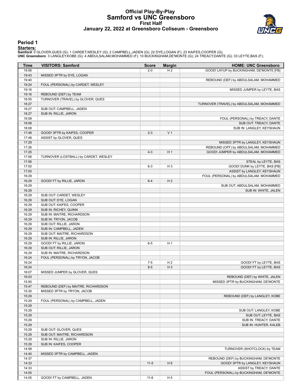### **Official Play-By-Play Samford vs UNC Greensboro First Half January 22, 2022 at Greensboro Coliseum - Greensboro**



#### **Period 1**

<mark>Starters:</mark><br>Samford: 0 GLOVER,QUES (G); 1 CARDET,WESLEY (G); 2 CAMPBELL,JADEN (G); 22 DYE,LOGAN (F); 23 KAIFES,COOPER (G);<br>**UNC Greensboro**: 3 LANGLEY,KOBE (G); 4 ABDULSALAM,MOHAMMED (F); 10 BUCKINGHAM,DE'MONTE (G); 24 TRE

| Time           | <b>VISITORS: Samford</b>                             | <b>Score</b> | <b>Margin</b>  | <b>HOME: UNC Greensboro</b>               |
|----------------|------------------------------------------------------|--------------|----------------|-------------------------------------------|
| 19:56          |                                                      | $2 - 0$      | H <sub>2</sub> | GOOD! LAYUP by BUCKINGHAM, DE'MONTE [FB]  |
| 19:43          | MISSED 3PTR by DYE, LOGAN                            |              |                |                                           |
| 19:40          |                                                      |              |                | REBOUND (DEF) by ABDULSALAM, MOHAMMED     |
| 19:24          | FOUL (PERSONAL) by CARDET, WESLEY                    |              |                |                                           |
| 19:16          |                                                      |              |                | MISSED JUMPER by LEYTE, BAS               |
| 19:16          | REBOUND (DEF) by TEAM                                |              |                |                                           |
| 18:55          | TURNOVER (TRAVEL) by GLOVER, QUES                    |              |                |                                           |
| 18:27          |                                                      |              |                | TURNOVER (TRAVEL) by ABDULSALAM, MOHAMMED |
| 18:27          | SUB OUT: CAMPBELL, JADEN                             |              |                |                                           |
| 18:27          | SUB IN: RILLIE, JARON                                |              |                |                                           |
| 18:08          |                                                      |              |                | FOUL (PERSONAL) by TREACY, DANTE          |
| 18:08          |                                                      |              |                | SUB OUT: TREACY, DANTE                    |
| 18:08<br>17:48 | GOOD! 3PTR by KAIFES, COOPER                         | $2 - 3$      | V <sub>1</sub> | SUB IN: LANGLEY, KEYSHAUN                 |
| 17:48          | ASSIST by GLOVER, QUES                               |              |                |                                           |
| 17:29          |                                                      |              |                | MISSED 3PTR by LANGLEY, KEYSHAUN          |
| 17:26          |                                                      |              |                | REBOUND (OFF) by ABDULSALAM, MOHAMMED     |
| 17:25          |                                                      | $4 - 3$      | H <sub>1</sub> | GOOD! JUMPER by ABDULSALAM, MOHAMMED      |
| 17:06          | TURNOVER (LOSTBALL) by CARDET, WESLEY                |              |                |                                           |
| 17:06          |                                                      |              |                | STEAL by LEYTE, BAS                       |
| 17:00          |                                                      | $6-3$        | $H_3$          | GOOD! DUNK by LEYTE, BAS [FB]             |
| 17:00          |                                                      |              |                | ASSIST by LANGLEY, KEYSHAUN               |
| 16:29          |                                                      |              |                | FOUL (PERSONAL) by ABDULSALAM, MOHAMMED   |
| 16:29          | GOOD! FT by RILLIE, JARON                            | $6 - 4$      | H <sub>2</sub> |                                           |
| 16:29          |                                                      |              |                | SUB OUT: ABDULSALAM, MOHAMMED             |
| 16:29          |                                                      |              |                | SUB IN: WHITE, JALEN                      |
| 16:29          | SUB OUT: CARDET, WESLEY                              |              |                |                                           |
| 16:29          | SUB OUT: DYE, LOGAN                                  |              |                |                                           |
| 16:29          | SUB OUT: KAIFES, COOPER                              |              |                |                                           |
| 16:29          | SUB IN: RICHEY, QUINN                                |              |                |                                           |
| 16:29          | SUB IN: MAITRE, RICHARDSON                           |              |                |                                           |
| 16:29          | SUB IN: TRYON, JACOB                                 |              |                |                                           |
| 16:29          | SUB OUT: RILLIE, JARON                               |              |                |                                           |
| 16:29          | SUB IN: CAMPBELL, JADEN                              |              |                |                                           |
| 16:29          | SUB OUT: MAITRE, RICHARDSON                          |              |                |                                           |
| 16:29          | SUB IN: RILLIE, JARON                                |              |                |                                           |
| 16:29          | GOOD! FT by RILLIE, JARON                            | $6-5$        | H <sub>1</sub> |                                           |
| 16:29<br>16:29 | SUB OUT: RILLIE, JARON<br>SUB IN: MAITRE, RICHARDSON |              |                |                                           |
| 16:24          | FOUL (PERSONAL) by TRYON, JACOB                      |              |                |                                           |
| 16:24          |                                                      | $7 - 5$      | H <sub>2</sub> | GOOD! FT by LEYTE, BAS                    |
| 16:24          |                                                      | $8-5$        | $H_3$          | GOOD! FT by LEYTE, BAS                    |
| 16:07          | MISSED JUMPER by GLOVER, QUES                        |              |                |                                           |
| 16:03          |                                                      |              |                | REBOUND (DEF) by WHITE, JALEN             |
| 15:50          |                                                      |              |                | MISSED 3PTR by BUCKINGHAM, DE'MONTE       |
| 15:47          | REBOUND (DEF) by MAITRE, RICHARDSON                  |              |                |                                           |
| 15:30          | MISSED 3PTR by TRYON, JACOB                          |              |                |                                           |
| 15:29          |                                                      |              |                | REBOUND (DEF) by LANGLEY, KOBE            |
| 15:29          | FOUL (PERSONAL) by CAMPBELL, JADEN                   |              |                |                                           |
| 15:29          |                                                      |              |                |                                           |
| 15:29          |                                                      |              |                | SUB OUT: LANGLEY, KOBE                    |
| 15:29          |                                                      |              |                | SUB OUT: LEYTE, BAS                       |
| 15:29          |                                                      |              |                | SUB IN: TREACY, DANTE                     |
| 15:29          |                                                      |              |                | SUB IN: HUNTER, KALEB                     |
| 15:29          | SUB OUT: GLOVER, QUES                                |              |                |                                           |
| 15:29          | SUB OUT: MAITRE, RICHARDSON                          |              |                |                                           |
| 15:29          | SUB IN: RILLIE, JARON                                |              |                |                                           |
| 15:29          | SUB IN: KAIFES, COOPER                               |              |                |                                           |
| 14:58          |                                                      |              |                | TURNOVER (SHOTCLOCK) by TEAM              |
| 14:40          | MISSED 3PTR by CAMPBELL, JADEN                       |              |                |                                           |
| 14:37          |                                                      |              |                | REBOUND (DEF) by BUCKINGHAM, DE'MONTE     |
| 14:33          |                                                      | $11-5$       | H <sub>6</sub> | GOOD! 3PTR by LANGLEY, KEYSHAUN           |
| 14:33          |                                                      |              |                | ASSIST by TREACY, DANTE                   |
| 14:05          |                                                      |              |                | FOUL (PERSONAL) by BUCKINGHAM, DE'MONTE   |
| 14:05          | GOOD! FT by CAMPBELL, JADEN                          | $11-6$       | H <sub>5</sub> |                                           |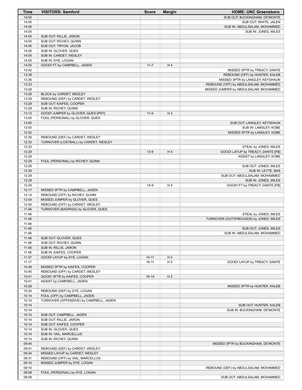| Time           | <b>VISITORS: Samford</b>                          | <b>Score</b> | <b>Margin</b>  | <b>HOME: UNC Greensboro</b>            |
|----------------|---------------------------------------------------|--------------|----------------|----------------------------------------|
| 14:05          |                                                   |              |                | SUB OUT: BUCKINGHAM, DE'MONTE          |
| 14:05          |                                                   |              |                | SUB OUT: WHITE, JALEN                  |
| 14:05          |                                                   |              |                | SUB IN: ABDULSALAM, MOHAMMED           |
| 14:05          |                                                   |              |                | SUB IN: JONES, MILES                   |
| 14:05          | SUB OUT: RILLIE, JARON                            |              |                |                                        |
| 14:05          | SUB OUT: RICHEY, QUINN                            |              |                |                                        |
| 14:05          | SUB OUT: TRYON, JACOB                             |              |                |                                        |
| 14:05          | SUB IN: GLOVER, QUES                              |              |                |                                        |
| 14:05          | SUB IN: CARDET, WESLEY                            |              |                |                                        |
| 14:05          | SUB IN: DYE, LOGAN                                |              |                |                                        |
| 14:05          | GOOD! FT by CAMPBELL, JADEN                       | $11 - 7$     | H4             |                                        |
| 13:42          |                                                   |              |                | MISSED 3PTR by TREACY, DANTE           |
| 13:39          |                                                   |              |                | REBOUND (OFF) by HUNTER, KALEB         |
| 13:36          |                                                   |              |                | MISSED 3PTR by LANGLEY, KEYSHAUN       |
| 13:33          |                                                   |              |                | REBOUND (OFF) by ABDULSALAM, MOHAMMED  |
| 13:29          |                                                   |              |                | MISSED JUMPER by ABDULSALAM, MOHAMMED  |
| 13:29          | BLOCK by CARDET, WESLEY                           |              |                |                                        |
| 13:29          | REBOUND (DEF) by CARDET, WESLEY                   |              |                |                                        |
| 13:29          | SUB OUT: KAIFES, COOPER                           |              |                |                                        |
| 13:29          | SUB IN: RICHEY, QUINN                             |              |                |                                        |
| 13:13          | GOOD! JUMPER by GLOVER, QUES [PNT]                | $11-9$       | H <sub>2</sub> |                                        |
| 13:00          | FOUL (PERSONAL) by GLOVER, QUES                   |              |                |                                        |
| 13:00          |                                                   |              |                | SUB OUT: LANGLEY, KEYSHAUN             |
| 13:00          |                                                   |              |                | SUB IN: LANGLEY, KOBE                  |
| 12:42          |                                                   |              |                | MISSED 3PTR by LANGLEY, KOBE           |
| 12:39          | REBOUND (DEF) by CARDET, WESLEY                   |              |                |                                        |
| 12:33          | TURNOVER (LOSTBALL) by CARDET, WESLEY             |              |                |                                        |
| 12:33          |                                                   |              |                | STEAL by JONES, MILES                  |
| 12:29          |                                                   | $13-9$       | H4             | GOOD! LAYUP by TREACY, DANTE [FB]      |
| 12:29          |                                                   |              |                | ASSIST by LANGLEY, KOBE                |
| 12:29          | FOUL (PERSONAL) by RICHEY, QUINN                  |              |                |                                        |
| 12:29          |                                                   |              |                | SUB OUT: JONES, MILES                  |
| 12:29          |                                                   |              |                | SUB IN: LEYTE, BAS                     |
| 12:29          |                                                   |              |                | SUB OUT: ABDULSALAM, MOHAMMED          |
| 12:29          |                                                   |              |                | SUB IN: JONES, MILES                   |
| 12:29          |                                                   | $14-9$       | H <sub>5</sub> | GOOD! FT by TREACY, DANTE [FB]         |
| 12:17          | MISSED 3PTR by CAMPBELL, JADEN                    |              |                |                                        |
| 12:14          | REBOUND (OFF) by RICHEY, QUINN                    |              |                |                                        |
| 12:04          | MISSED JUMPER by GLOVER, QUES                     |              |                |                                        |
| 12:00          | REBOUND (OFF) by CARDET, WESLEY                   |              |                |                                        |
| 11:48          | TURNOVER (BADPASS) by GLOVER, QUES                |              |                |                                        |
| 11:48          |                                                   |              |                | STEAL by JONES, MILES                  |
| 11:48          |                                                   |              |                | TURNOVER (OUTOFBOUNDS) by JONES, MILES |
| 11:48          |                                                   |              |                |                                        |
| 11:48          |                                                   |              |                | SUB OUT: JONES, MILES                  |
| 11:48          |                                                   |              |                | SUB IN: ABDULSALAM, MOHAMMED           |
| 11:48          | SUB OUT: GLOVER, QUES                             |              |                |                                        |
| 11:48          | SUB OUT: RICHEY, QUINN                            |              |                |                                        |
| 11:48          | SUB IN: RILLIE, JARON                             |              |                |                                        |
| 11:48          | SUB IN: KAIFES, COOPER                            |              |                |                                        |
| 11:37          | GOOD! LAYUP by DYE, LOGAN                         | $14 - 11$    | $H_3$          |                                        |
| 11:17          |                                                   | $16-11$      | H <sub>5</sub> | GOOD! LAYUP by TREACY, DANTE           |
| 10:48          | MISSED 3PTR by KAIFES, COOPER                     |              |                |                                        |
| 10:45          | REBOUND (OFF) by CARDET, WESLEY                   |              |                |                                        |
| 10:41          | GOOD! 3PTR by KAIFES, COOPER                      | $16 - 14$    | H <sub>2</sub> |                                        |
| 10:41          | ASSIST by CAMPBELL, JADEN                         |              |                |                                        |
| 10:28          |                                                   |              |                | MISSED 3PTR by HUNTER, KALEB           |
| 10:24          | REBOUND (DEF) by DYE, LOGAN                       |              |                |                                        |
| 10:14          | FOUL (OFF) by CAMPBELL, JADEN                     |              |                |                                        |
| 10:14          | TURNOVER (OFFENSIVE) by CAMPBELL, JADEN           |              |                |                                        |
| 10:14          |                                                   |              |                | SUB OUT: HUNTER, KALEB                 |
| 10:14          |                                                   |              |                | SUB IN: BUCKINGHAM, DE'MONTE           |
| 10:14          | SUB OUT: CAMPBELL, JADEN                          |              |                |                                        |
|                |                                                   |              |                |                                        |
| 10:14<br>10:14 | SUB OUT: RILLIE, JARON<br>SUB OUT: KAIFES, COOPER |              |                |                                        |
| 10:14          | SUB IN: GLOVER, QUES                              |              |                |                                        |
| 10:14          | SUB IN: VAIL, MARCELLUS                           |              |                |                                        |
| 10:14          |                                                   |              |                |                                        |
| 09:44          | SUB IN: RICHEY, QUINN                             |              |                |                                        |
|                |                                                   |              |                | MISSED 3PTR by BUCKINGHAM, DE'MONTE    |
| 09:41          | REBOUND (DEF) by CARDET, WESLEY                   |              |                |                                        |
| 09:34          | MISSED LAYUP by CARDET, WESLEY                    |              |                |                                        |
| 09:31          | REBOUND (OFF) by VAIL, MARCELLUS                  |              |                |                                        |
| 09:15          | MISSED JUMPER by DYE, LOGAN                       |              |                |                                        |
| 09:10          |                                                   |              |                | REBOUND (DEF) by ABDULSALAM, MOHAMMED  |
| 09:08          | FOUL (PERSONAL) by DYE, LOGAN                     |              |                |                                        |
| 09:08          |                                                   |              |                | SUB OUT: ABDULSALAM, MOHAMMED          |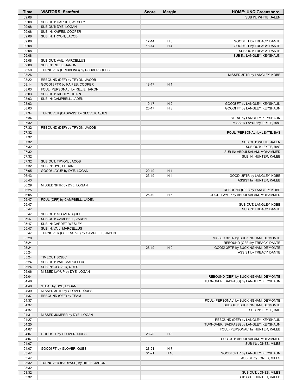| <b>Time</b>    | <b>VISITORS: Samford</b>                          | <b>Score</b>       | <b>Margin</b>  | <b>HOME: UNC Greensboro</b>                                           |
|----------------|---------------------------------------------------|--------------------|----------------|-----------------------------------------------------------------------|
| 09:08          |                                                   |                    |                | SUB IN: WHITE, JALEN                                                  |
| 09:08          | SUB OUT: CARDET, WESLEY                           |                    |                |                                                                       |
| 09:08<br>09:08 | SUB OUT: DYE, LOGAN                               |                    |                |                                                                       |
| 09:08          | SUB IN: KAIFES, COOPER<br>SUB IN: TRYON, JACOB    |                    |                |                                                                       |
| 09:08          |                                                   | $17 - 14$          | $H_3$          | GOOD! FT by TREACY, DANTE                                             |
| 09:08          |                                                   | $18 - 14$          | H <sub>4</sub> | GOOD! FT by TREACY, DANTE                                             |
| 09:08          |                                                   |                    |                | SUB OUT: TREACY, DANTE                                                |
| 09:08          |                                                   |                    |                | SUB IN: LANGLEY, KEYSHAUN                                             |
| 09:08<br>09:08 | SUB OUT: VAIL, MARCELLUS<br>SUB IN: RILLIE, JARON |                    |                |                                                                       |
| 08:50          | TURNOVER (DRIBBLING) by GLOVER, QUES              |                    |                |                                                                       |
| 08:26          |                                                   |                    |                | MISSED 3PTR by LANGLEY, KOBE                                          |
| 08:22          | REBOUND (DEF) by TRYON, JACOB                     |                    |                |                                                                       |
| 08:14          | GOOD! 3PTR by KAIFES, COOPER                      | $18-17$            | H <sub>1</sub> |                                                                       |
| 08:03          | FOUL (PERSONAL) by RILLIE, JARON                  |                    |                |                                                                       |
| 08:03<br>08:03 | SUB OUT: RICHEY, QUINN<br>SUB IN: CAMPBELL, JADEN |                    |                |                                                                       |
| 08:03          |                                                   | $19-17$            | H <sub>2</sub> | GOOD! FT by LANGLEY, KEYSHAUN                                         |
| 08:03          |                                                   | $20 - 17$          | $H_3$          | GOOD! FT by LANGLEY, KEYSHAUN                                         |
| 07:34          | TURNOVER (BADPASS) by GLOVER, QUES                |                    |                |                                                                       |
| 07:34          |                                                   |                    |                | STEAL by LANGLEY, KEYSHAUN                                            |
| 07:32<br>07:32 |                                                   |                    |                | MISSED LAYUP by LEYTE, BAS                                            |
| 07:32          | REBOUND (DEF) by TRYON, JACOB                     |                    |                | FOUL (PERSONAL) by LEYTE, BAS                                         |
| 07:32          |                                                   |                    |                |                                                                       |
| 07:32          |                                                   |                    |                | SUB OUT: WHITE, JALEN                                                 |
| 07:32          |                                                   |                    |                | SUB OUT: LEYTE, BAS                                                   |
| 07:32          |                                                   |                    |                | SUB IN: ABDULSALAM, MOHAMMED                                          |
| 07:32<br>07:32 | SUB OUT: TRYON, JACOB                             |                    |                | SUB IN: HUNTER, KALEB                                                 |
| 07:32          | SUB IN: DYE, LOGAN                                |                    |                |                                                                       |
| 07:05          | GOOD! LAYUP by DYE, LOGAN                         | $20-19$            | H <sub>1</sub> |                                                                       |
| 06:43          |                                                   | 23-19              | H4             | GOOD! 3PTR by LANGLEY, KOBE                                           |
| 06:43          |                                                   |                    |                | ASSIST by HUNTER, KALEB                                               |
| 06:29          | MISSED 3PTR by DYE, LOGAN                         |                    |                |                                                                       |
| 06:25<br>06:05 |                                                   | $25-19$            | H <sub>6</sub> | REBOUND (DEF) by LANGLEY, KOBE<br>GOOD! LAYUP by ABDULSALAM, MOHAMMED |
| 05:47          | FOUL (OFF) by CAMPBELL, JADEN                     |                    |                |                                                                       |
| 05:47          |                                                   |                    |                | SUB OUT: LANGLEY, KOBE                                                |
| 05:47          |                                                   |                    |                | SUB IN: TREACY, DANTE                                                 |
| 05:47          | SUB OUT: GLOVER, QUES                             |                    |                |                                                                       |
| 05:47<br>05:47 | SUB OUT: CAMPBELL, JADEN                          |                    |                |                                                                       |
| 05:47          | SUB IN: CARDET, WESLEY<br>SUB IN: VAIL, MARCELLUS |                    |                |                                                                       |
| 05:47          | TURNOVER (OFFENSIVE) by CAMPBELL, JADEN           |                    |                |                                                                       |
| 05:28          |                                                   |                    |                | MISSED 3PTR by BUCKINGHAM, DE'MONTE                                   |
| 05:24          |                                                   |                    |                | REBOUND (OFF) by TREACY, DANTE                                        |
| 05:24          |                                                   | 28-19              | H9             | GOOD! 3PTR by BUCKINGHAM, DE'MONTE                                    |
| 05:24<br>05:24 | TIMEOUT 30SEC                                     |                    |                | ASSIST by TREACY, DANTE                                               |
| 05:24          | SUB OUT: VAIL, MARCELLUS                          |                    |                |                                                                       |
| 05:24          | SUB IN: GLOVER, QUES                              |                    |                |                                                                       |
| 05:06          | MISSED LAYUP by DYE, LOGAN                        |                    |                |                                                                       |
| 05:04          |                                                   |                    |                | REBOUND (DEF) by BUCKINGHAM, DE'MONTE                                 |
| 04:48<br>04:48 | STEAL by DYE, LOGAN                               |                    |                | TURNOVER (BADPASS) by LANGLEY, KEYSHAUN                               |
| 04:39          | MISSED 3PTR by GLOVER, QUES                       |                    |                |                                                                       |
| 04:37          | REBOUND (OFF) by TEAM                             |                    |                |                                                                       |
| 04:37          |                                                   |                    |                | FOUL (PERSONAL) by BUCKINGHAM, DE'MONTE                               |
| 04:37          |                                                   |                    |                | SUB OUT: BUCKINGHAM, DE'MONTE                                         |
| 04:37          |                                                   |                    |                | SUB IN: LEYTE, BAS                                                    |
| 04:31<br>04:27 | MISSED JUMPER by DYE, LOGAN                       |                    |                | REBOUND (DEF) by LANGLEY, KEYSHAUN                                    |
| 04:25          |                                                   |                    |                | TURNOVER (BADPASS) by LANGLEY, KEYSHAUN                               |
| 04:07          |                                                   |                    |                | FOUL (PERSONAL) by HUNTER, KALEB                                      |
| 04:07          | GOOD! FT by GLOVER, QUES                          | 28-20              | H <sub>8</sub> |                                                                       |
| 04:07          |                                                   |                    |                | SUB OUT: ABDULSALAM, MOHAMMED                                         |
| 04:07          |                                                   |                    |                | SUB IN: JONES, MILES                                                  |
| 04:07<br>03:47 | GOOD! FT by GLOVER, QUES                          | 28-21<br>$31 - 21$ | H 7<br>H 10    | GOOD! 3PTR by LANGLEY, KEYSHAUN                                       |
| 03:47          |                                                   |                    |                | ASSIST by JONES, MILES                                                |
| 03:32          | TURNOVER (BADPASS) by RILLIE, JARON               |                    |                |                                                                       |
| 03:32          |                                                   |                    |                |                                                                       |
| 03:32          |                                                   |                    |                | SUB OUT: JONES, MILES                                                 |
| 03:32          |                                                   |                    |                | SUB OUT: HUNTER, KALEB                                                |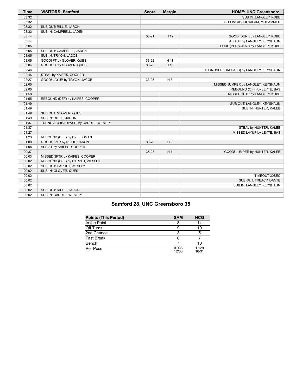| <b>Time</b> | <b>VISITORS: Samford</b>             | <b>Score</b> | <b>Margin</b>  | <b>HOME: UNC Greensboro</b>             |
|-------------|--------------------------------------|--------------|----------------|-----------------------------------------|
| 03:32       |                                      |              |                | SUB IN: LANGLEY, KOBE                   |
| 03:32       |                                      |              |                | SUB IN: ABDULSALAM, MOHAMMED            |
| 03:32       | SUB OUT: RILLIE, JARON               |              |                |                                         |
| 03:32       | SUB IN: CAMPBELL, JADEN              |              |                |                                         |
| 03:14       |                                      | $33 - 21$    | H 12           | GOOD! DUNK by LANGLEY, KOBE             |
| 03:14       |                                      |              |                | ASSIST by LANGLEY, KEYSHAUN             |
| 03:05       |                                      |              |                | FOUL (PERSONAL) by LANGLEY, KOBE        |
| 03:05       | SUB OUT: CAMPBELL, JADEN             |              |                |                                         |
| 03:05       | SUB IN: TRYON, JACOB                 |              |                |                                         |
| 03:05       | GOOD! FT by GLOVER, QUES             | 33-22        | H 11           |                                         |
| 03:04       | GOOD! FT by GLOVER, QUES             | 33-23        | H 10           |                                         |
| 02:46       |                                      |              |                | TURNOVER (BADPASS) by LANGLEY, KEYSHAUN |
| 02:46       | STEAL by KAIFES, COOPER              |              |                |                                         |
| 02:27       | GOOD! LAYUP by TRYON, JACOB          | 33-25        | H 8            |                                         |
| 02:05       |                                      |              |                | MISSED JUMPER by LANGLEY, KEYSHAUN      |
| 02:00       |                                      |              |                | REBOUND (OFF) by LEYTE, BAS             |
| 01:58       |                                      |              |                | MISSED 3PTR by LANGLEY, KOBE            |
| 01:55       | REBOUND (DEF) by KAIFES, COOPER      |              |                |                                         |
| 01:49       |                                      |              |                | SUB OUT: LANGLEY, KEYSHAUN              |
| 01:49       |                                      |              |                | SUB IN: HUNTER, KALEB                   |
| 01:49       | SUB OUT: GLOVER, QUES                |              |                |                                         |
| 01:49       | SUB IN: RILLIE, JARON                |              |                |                                         |
| 01:37       | TURNOVER (BADPASS) by CARDET, WESLEY |              |                |                                         |
| 01:37       |                                      |              |                | STEAL by HUNTER, KALEB                  |
| 01:27       |                                      |              |                | MISSED LAYUP by LEYTE, BAS              |
| 01:23       | REBOUND (DEF) by DYE, LOGAN          |              |                |                                         |
| 01:08       | GOOD! 3PTR by RILLIE, JARON          | 33-28        | H <sub>5</sub> |                                         |
| 01:08       | ASSIST by KAIFES, COOPER             |              |                |                                         |
| 00:37       |                                      | $35 - 28$    | H 7            | GOOD! JUMPER by HUNTER, KALEB           |
| 00:03       | MISSED 3PTR by KAIFES, COOPER        |              |                |                                         |
| 00:02       | REBOUND (OFF) by CARDET, WESLEY      |              |                |                                         |
| 00:02       | SUB OUT: CARDET, WESLEY              |              |                |                                         |
| 00:02       | SUB IN: GLOVER, QUES                 |              |                |                                         |
| 00:02       |                                      |              |                | TIMEOUT 30SEC                           |
| 00:02       |                                      |              |                | SUB OUT: TREACY, DANTE                  |
| 00:02       |                                      |              |                | SUB IN: LANGLEY, KEYSHAUN               |
| 00:02       | SUB OUT: RILLIE, JARON               |              |                |                                         |
| 00:02       | SUB IN: CARDET, WESLEY               |              |                |                                         |

# **Samford 28, UNC Greensboro 35**

| <b>Points (This Period)</b> | <b>SAM</b>     | <b>NCG</b>     |
|-----------------------------|----------------|----------------|
| In the Paint                |                | 14             |
| Off Turns                   |                | 10             |
| 2nd Chance                  | ີ              | 5              |
| <b>Fast Break</b>           |                |                |
| Bench                       |                | 10             |
| Per Poss                    | 0.933<br>12/30 | 1.129<br>16/31 |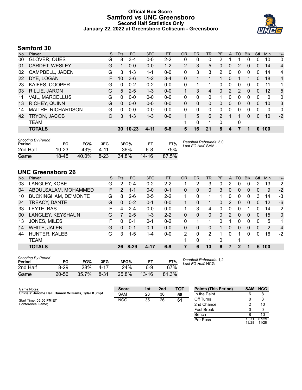## **Official Box Score Samford vs UNC Greensboro Second Half Statistics Only January 22, 2022 at Greensboro Coliseum - Greensboro**



# **Samford 30**

| No. | Player                 | S  | <b>Pts</b> | <b>FG</b> | 3FG      | <b>FT</b> | <b>OR</b>      | <b>DR</b> | TR       | PF            | A                     | TO | <b>B</b> lk  | Stl      | Min      | $+/-$        |
|-----|------------------------|----|------------|-----------|----------|-----------|----------------|-----------|----------|---------------|-----------------------|----|--------------|----------|----------|--------------|
| 00  | GLOVER, QUES           | G  | 8          | $3 - 4$   | $0-0$    | $2 - 2$   | 0              | 0         | 0        | 2             |                       |    | 0            | 0        | 10       | $\mathbf{0}$ |
| 01  | CARDET, WESLEY         | G  | 1          | $0 - 0$   | $0 - 0$  | $1 - 2$   | $\overline{2}$ | 3         | 5        | 0             | 0                     | 2  | 0            | $\Omega$ | 14       | 4            |
| 02  | CAMPBELL, JADEN        | G  | 3          | $1 - 3$   | $1 - 1$  | $0 - 0$   | 0              | 3         | 3        | 2             | $\mathbf{0}$          | 0  | 0            | $\Omega$ | 14       | 4            |
| 22  | DYE, LOGAN             | F. | 10         | $3-6$     | $1 - 2$  | $3 - 4$   | $\Omega$       | 1         |          | 1             | $\Omega$              | 1  |              | 0        | 18       | 4            |
| 23  | KAIFES, COOPER         | G  | $\Omega$   | $0 - 2$   | $0 - 2$  | $0 - 0$   | 0              |           |          | 0             | 0                     | 0  | 0            | 0        | 11       | $-1$         |
| 03  | RILLIE, JARON          | G  | 5          | $2 - 5$   | $1 - 3$  | $0 - 0$   |                | 3         | 4        | $\Omega$      | $\mathbf{2}^{\prime}$ | 2  | $\mathbf{0}$ | $\Omega$ | 12       | 5            |
| 11  | <b>VAIL, MARCELLUS</b> | G  | 0          | $0 - 0$   | $0 - 0$  | $0 - 0$   | 0              | 0         | 0        |               | 0                     | 0  | 0            | 0        | $\Omega$ | $\mathbf{0}$ |
| 13  | <b>RICHEY, QUINN</b>   | G  | $\Omega$   | $0 - 0$   | $0 - 0$  | $0 - 0$   | 0              | $\Omega$  | 0        | $\Omega$      | $\Omega$              | 0  | $\Omega$     | 0        | 10       | 3            |
| 14  | MAITRE, RICHARDSON     | G  | 0          | $0 - 0$   | $0 - 0$  | $0 - 0$   | 0              | 0         | $\Omega$ | 0             | $\Omega$              | 0  | 0            | 0        | $\Omega$ | $\mathbf{0}$ |
| 42  | TRYON, JACOB           | С  | 3          | $1 - 3$   | $1 - 3$  | $0 - 0$   | 1.             | 5         | 6        | $\mathcal{P}$ |                       |    | $\mathbf{0}$ | 0        | 10       | $-2$         |
|     | <b>TEAM</b>            |    |            |           |          |           | 1.             | 0         |          | 0             |                       | 0  |              |          |          |              |
|     | <b>TOTALS</b>          |    | 30         | $10 - 23$ | $4 - 11$ | $6 - 8$   | 5              | 16        | 21       | 8             | 4                     |    | 1            | $\Omega$ | 100      |              |
|     |                        |    |            |           |          |           |                |           |          |               |                       |    |              |          |          |              |

| <b>Shooting By Period</b><br>Period | FG        | FG%   | 3FG    | 3FG%  | F1        | FT%   | Deadball Rebounds: 3,0<br>Last FG Half: SAM - |
|-------------------------------------|-----------|-------|--------|-------|-----------|-------|-----------------------------------------------|
| 2nd Half                            | $10 - 23$ | 43%   | 4-11   | 36%   | հ-8       | 75%   |                                               |
| Game                                | 18-45     | 40.0% | $8-23$ | 34.8% | $14 - 16$ | 87.5% |                                               |

# **UNC Greensboro 26**

| No. | Plaver                      | S | <b>Pts</b>    | FG      | 3FG     | <b>FT</b> | <b>OR</b>     | <b>DR</b> | <b>TR</b>     | PF       | A        | TO | <b>Blk</b>     | Stl      | Min | $+/-$        |
|-----|-----------------------------|---|---------------|---------|---------|-----------|---------------|-----------|---------------|----------|----------|----|----------------|----------|-----|--------------|
| 03  | LANGLEY, KOBE               | G | 2             | $0 - 4$ | $0 - 2$ | $2 - 2$   |               | 2         | 3             | 0        | 2        | 0  | 0              | 2        | 13  | $-2$         |
| 04  | ABDULSALAM, MOHAMMED        | F | $\mathcal{P}$ | $1 - 1$ | $0 - 0$ | $0 - 1$   | 0             | 0         | 0             | 3        | $\Omega$ | 0  | $\Omega$       | 0        | 9   | $-2$         |
| 10  | <b>BUCKINGHAM, DE'MONTE</b> | G | 8             | $2-6$   | $2 - 5$ | $2 - 2$   | 1             | 0         |               |          | 0        | 0  | 0              | 3        | 14  | $-3$         |
| 24  | TREACY, DANTE               | G | 0             | $0 - 2$ | $0 - 1$ | $0 - 0$   |               | 0         |               | 0        | 2        | 0  | $\overline{0}$ | 0        | 12  | -6           |
| 33  | LEYTE, BAS                  | F | 4             | $2 - 4$ | $0 - 0$ | $0-0$     | 1.            | 3         | 4             | 0        | 0        | 0  |                | 0        | 14  | $-2$         |
| 00  | LANGLEY, KEYSHAUN           | G | 7             | $2 - 5$ | $1 - 3$ | $2 - 2$   | 0             | 0         | $\Omega$      | $\Omega$ | 2        | 0  | $\Omega$       | 0        | 15  | $\mathbf{0}$ |
| 13  | JONES, MILES                | F | 0             | $0 - 1$ | $0 - 1$ | $0 - 2$   | $\Omega$      |           |               | 0        | 1        | 0  | 0              | 0        | 5   | 1            |
| 14  | WHITE, JALEN                | G | 0             | $0 - 1$ | $0 - 1$ | $0 - 0$   | 0             | 0         | 0             |          | $\Omega$ | 0  | $\Omega$       | $\Omega$ | 2   | $-4$         |
| 44  | HUNTER, KALEB               | G | 3             | 1-5     | 1-4     | $0 - 0$   | $\mathcal{P}$ | 0         | $\mathcal{P}$ |          | $\Omega$ |    | 0              | 0        | 16  | $-2$         |
|     | TEAM                        |   |               |         |         |           | 1             | 0         | 1             | 0        |          |    |                |          |     |              |
|     | <b>TOTALS</b>               |   | 26            | 8-29    | 4-17    | $6 - 9$   |               | 6         | 13            | 6        |          | 2  |                | 5        | 100 |              |

| <b>Shooting By Period</b><br>Period | FG        | FG%   | 3FG      | 3FG%  | FТ        | FT%   |
|-------------------------------------|-----------|-------|----------|-------|-----------|-------|
| 2nd Half                            | $8 - 29$  | 28%   | $4 - 17$ | 24%   | հ-9       | 67%   |
| Game                                | $20 - 56$ | 35.7% | $8 - 31$ | 25.8% | $13 - 16$ | 81.3% |

*Deadball Rebounds:* 1,2 *Last FG Half:* NCG -

Per Poss

1.071<br>13/28

0.929 11/28

| Game Notes:                                         | <b>Score</b> | 1st | 2 <sub>nd</sub> | TOT | <b>Points (This Period)</b> | SAM | <b>NCG</b> |
|-----------------------------------------------------|--------------|-----|-----------------|-----|-----------------------------|-----|------------|
| Officials: Jerome Hall, Damon Williams, Tyler Kumpf | <b>SAM</b>   | 28  | 30              | 58  | In the Paint                |     |            |
| Start Time: 05:00 PM ET                             | <b>NCG</b>   | 35  | 26              | 61  | Off Turns                   |     |            |
| Conference Game;                                    |              |     |                 |     | 2nd Chance                  |     | 10         |
|                                                     |              |     |                 |     | <b>Fast Break</b>           |     |            |
|                                                     |              |     |                 |     | Bench                       |     |            |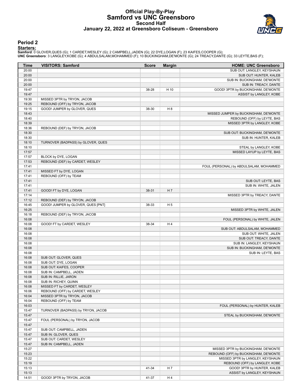#### **Official Play-By-Play Samford vs UNC Greensboro Second Half January 22, 2022 at Greensboro Coliseum - Greensboro**



#### **Period 2**

<mark>Starters:</mark><br>Samford: 0 GLOVER,QUES (G); 1 CARDET,WESLEY (G); 2 CAMPBELL,JADEN (G); 22 DYE,LOGAN (F); 23 KAIFES,COOPER (G);<br>**UNC Greensboro**: 3 LANGLEY,KOBE (G); 4 ABDULSALAM,MOHAMMED (F); 10 BUCKINGHAM,DE'MONTE (G); 24 TRE

| 20:00<br>20:00<br>20:00<br>20:00<br>19:47<br>H 10<br>38-28<br>19:47<br>19:30<br>MISSED 3PTR by TRYON, JACOB<br>19:25<br>REBOUND (OFF) by TRYON, JACOB<br>H <sub>8</sub><br>19:15<br>GOOD! JUMPER by GLOVER, QUES<br>38-30<br>18:43<br>18:40<br>18:39<br>MISSED 3PTR by LANGLEY, KOBE<br>18:36<br>REBOUND (DEF) by TRYON, JACOB<br>18:30<br>18:30<br>18:10<br>TURNOVER (BADPASS) by GLOVER, QUES<br>18:10<br>17:57<br>17:57<br>BLOCK by DYE, LOGAN<br>17:53<br>REBOUND (DEF) by CARDET, WESLEY<br>17:41<br>17:41<br>MISSED FT by DYE, LOGAN<br>17:41<br>REBOUND (OFF) by TEAM<br>17:41<br>SUB OUT: LEYTE, BAS<br>17:41<br>SUB IN: WHITE, JALEN<br>17:41<br>H7<br>GOOD! FT by DYE, LOGAN<br>38-31<br>17:14<br>MISSED 3PTR by TREACY, DANTE<br>17:12<br>REBOUND (DEF) by TRYON, JACOB<br>16:45<br>GOOD! JUMPER by GLOVER, QUES [PNT]<br>H <sub>5</sub><br>38-33<br>16:25<br>MISSED 3PTR by WHITE, JALEN<br>16:18<br>REBOUND (DEF) by TRYON, JACOB<br>16:08<br>FOUL (PERSONAL) by WHITE, JALEN<br>H4<br>16:08<br>GOOD! FT by CARDET, WESLEY<br>38-34<br>16:08<br>SUB OUT: ABDULSALAM, MOHAMMED<br>16:08<br>SUB OUT: WHITE, JALEN<br>16:08<br>SUB OUT: TREACY, DANTE<br>16:08<br>SUB IN: LANGLEY, KEYSHAUN<br>16:08<br>SUB IN: BUCKINGHAM, DE'MONTE<br>16:08<br>16:08<br>SUB OUT: GLOVER, QUES<br>16:08<br>SUB OUT: DYE, LOGAN<br>16:08<br>SUB OUT: KAIFES, COOPER<br>16:08<br>SUB IN: CAMPBELL, JADEN<br>SUB IN: RILLIE, JARON<br>16:08<br>SUB IN: RICHEY, QUINN<br>16:08<br>MISSED FT by CARDET, WESLEY<br>16:08<br>REBOUND (OFF) by CARDET, WESLEY<br>16:06<br>16:04<br>MISSED 3PTR by TRYON, JACOB<br>16:04<br>REBOUND (OFF) by TEAM<br>16:03<br>FOUL (PERSONAL) by HUNTER, KALEB<br>15:47<br>TURNOVER (BADPASS) by TRYON, JACOB<br>15:47<br>STEAL by BUCKINGHAM, DE'MONTE<br>15:47<br>FOUL (PERSONAL) by TRYON, JACOB<br>15:47<br>15:47<br>SUB OUT: CAMPBELL, JADEN<br>15:47<br>SUB IN: GLOVER, QUES<br>15:47<br>SUB OUT: CARDET, WESLEY<br>15:47<br>SUB IN: CAMPBELL, JADEN<br>15:27<br>MISSED 3PTR by BUCKINGHAM, DE'MONTE<br>15:23<br>REBOUND (OFF) by BUCKINGHAM, DE'MONTE<br>15:22<br>MISSED 3PTR by LANGLEY, KEYSHAUN<br>15:19<br>REBOUND (OFF) by LANGLEY, KOBE<br>15:13<br>41-34<br>H 7<br>GOOD! 3PTR by HUNTER, KALEB<br>15:13<br>ASSIST by LANGLEY, KEYSHAUN | Time | <b>VISITORS: Samford</b> | <b>Score</b> | <b>Margin</b> | <b>HOME: UNC Greensboro</b>             |
|------------------------------------------------------------------------------------------------------------------------------------------------------------------------------------------------------------------------------------------------------------------------------------------------------------------------------------------------------------------------------------------------------------------------------------------------------------------------------------------------------------------------------------------------------------------------------------------------------------------------------------------------------------------------------------------------------------------------------------------------------------------------------------------------------------------------------------------------------------------------------------------------------------------------------------------------------------------------------------------------------------------------------------------------------------------------------------------------------------------------------------------------------------------------------------------------------------------------------------------------------------------------------------------------------------------------------------------------------------------------------------------------------------------------------------------------------------------------------------------------------------------------------------------------------------------------------------------------------------------------------------------------------------------------------------------------------------------------------------------------------------------------------------------------------------------------------------------------------------------------------------------------------------------------------------------------------------------------------------------------------------------------------------------------------------------------------------------------------------------------------------------------------------------------------------------------------------------------------------------------------------------------|------|--------------------------|--------------|---------------|-----------------------------------------|
|                                                                                                                                                                                                                                                                                                                                                                                                                                                                                                                                                                                                                                                                                                                                                                                                                                                                                                                                                                                                                                                                                                                                                                                                                                                                                                                                                                                                                                                                                                                                                                                                                                                                                                                                                                                                                                                                                                                                                                                                                                                                                                                                                                                                                                                                        |      |                          |              |               | SUB OUT: LANGLEY, KEYSHAUN              |
|                                                                                                                                                                                                                                                                                                                                                                                                                                                                                                                                                                                                                                                                                                                                                                                                                                                                                                                                                                                                                                                                                                                                                                                                                                                                                                                                                                                                                                                                                                                                                                                                                                                                                                                                                                                                                                                                                                                                                                                                                                                                                                                                                                                                                                                                        |      |                          |              |               | SUB OUT: HUNTER, KALEB                  |
|                                                                                                                                                                                                                                                                                                                                                                                                                                                                                                                                                                                                                                                                                                                                                                                                                                                                                                                                                                                                                                                                                                                                                                                                                                                                                                                                                                                                                                                                                                                                                                                                                                                                                                                                                                                                                                                                                                                                                                                                                                                                                                                                                                                                                                                                        |      |                          |              |               | SUB IN: BUCKINGHAM, DE'MONTE            |
|                                                                                                                                                                                                                                                                                                                                                                                                                                                                                                                                                                                                                                                                                                                                                                                                                                                                                                                                                                                                                                                                                                                                                                                                                                                                                                                                                                                                                                                                                                                                                                                                                                                                                                                                                                                                                                                                                                                                                                                                                                                                                                                                                                                                                                                                        |      |                          |              |               | SUB IN: TREACY, DANTE                   |
|                                                                                                                                                                                                                                                                                                                                                                                                                                                                                                                                                                                                                                                                                                                                                                                                                                                                                                                                                                                                                                                                                                                                                                                                                                                                                                                                                                                                                                                                                                                                                                                                                                                                                                                                                                                                                                                                                                                                                                                                                                                                                                                                                                                                                                                                        |      |                          |              |               | GOOD! 3PTR by BUCKINGHAM, DE'MONTE      |
|                                                                                                                                                                                                                                                                                                                                                                                                                                                                                                                                                                                                                                                                                                                                                                                                                                                                                                                                                                                                                                                                                                                                                                                                                                                                                                                                                                                                                                                                                                                                                                                                                                                                                                                                                                                                                                                                                                                                                                                                                                                                                                                                                                                                                                                                        |      |                          |              |               | ASSIST by LANGLEY, KOBE                 |
|                                                                                                                                                                                                                                                                                                                                                                                                                                                                                                                                                                                                                                                                                                                                                                                                                                                                                                                                                                                                                                                                                                                                                                                                                                                                                                                                                                                                                                                                                                                                                                                                                                                                                                                                                                                                                                                                                                                                                                                                                                                                                                                                                                                                                                                                        |      |                          |              |               |                                         |
|                                                                                                                                                                                                                                                                                                                                                                                                                                                                                                                                                                                                                                                                                                                                                                                                                                                                                                                                                                                                                                                                                                                                                                                                                                                                                                                                                                                                                                                                                                                                                                                                                                                                                                                                                                                                                                                                                                                                                                                                                                                                                                                                                                                                                                                                        |      |                          |              |               |                                         |
|                                                                                                                                                                                                                                                                                                                                                                                                                                                                                                                                                                                                                                                                                                                                                                                                                                                                                                                                                                                                                                                                                                                                                                                                                                                                                                                                                                                                                                                                                                                                                                                                                                                                                                                                                                                                                                                                                                                                                                                                                                                                                                                                                                                                                                                                        |      |                          |              |               |                                         |
|                                                                                                                                                                                                                                                                                                                                                                                                                                                                                                                                                                                                                                                                                                                                                                                                                                                                                                                                                                                                                                                                                                                                                                                                                                                                                                                                                                                                                                                                                                                                                                                                                                                                                                                                                                                                                                                                                                                                                                                                                                                                                                                                                                                                                                                                        |      |                          |              |               | MISSED JUMPER by BUCKINGHAM, DE'MONTE   |
|                                                                                                                                                                                                                                                                                                                                                                                                                                                                                                                                                                                                                                                                                                                                                                                                                                                                                                                                                                                                                                                                                                                                                                                                                                                                                                                                                                                                                                                                                                                                                                                                                                                                                                                                                                                                                                                                                                                                                                                                                                                                                                                                                                                                                                                                        |      |                          |              |               | REBOUND (OFF) by LEYTE, BAS             |
|                                                                                                                                                                                                                                                                                                                                                                                                                                                                                                                                                                                                                                                                                                                                                                                                                                                                                                                                                                                                                                                                                                                                                                                                                                                                                                                                                                                                                                                                                                                                                                                                                                                                                                                                                                                                                                                                                                                                                                                                                                                                                                                                                                                                                                                                        |      |                          |              |               |                                         |
|                                                                                                                                                                                                                                                                                                                                                                                                                                                                                                                                                                                                                                                                                                                                                                                                                                                                                                                                                                                                                                                                                                                                                                                                                                                                                                                                                                                                                                                                                                                                                                                                                                                                                                                                                                                                                                                                                                                                                                                                                                                                                                                                                                                                                                                                        |      |                          |              |               |                                         |
|                                                                                                                                                                                                                                                                                                                                                                                                                                                                                                                                                                                                                                                                                                                                                                                                                                                                                                                                                                                                                                                                                                                                                                                                                                                                                                                                                                                                                                                                                                                                                                                                                                                                                                                                                                                                                                                                                                                                                                                                                                                                                                                                                                                                                                                                        |      |                          |              |               | SUB OUT: BUCKINGHAM, DE'MONTE           |
|                                                                                                                                                                                                                                                                                                                                                                                                                                                                                                                                                                                                                                                                                                                                                                                                                                                                                                                                                                                                                                                                                                                                                                                                                                                                                                                                                                                                                                                                                                                                                                                                                                                                                                                                                                                                                                                                                                                                                                                                                                                                                                                                                                                                                                                                        |      |                          |              |               | SUB IN: HUNTER, KALEB                   |
|                                                                                                                                                                                                                                                                                                                                                                                                                                                                                                                                                                                                                                                                                                                                                                                                                                                                                                                                                                                                                                                                                                                                                                                                                                                                                                                                                                                                                                                                                                                                                                                                                                                                                                                                                                                                                                                                                                                                                                                                                                                                                                                                                                                                                                                                        |      |                          |              |               |                                         |
|                                                                                                                                                                                                                                                                                                                                                                                                                                                                                                                                                                                                                                                                                                                                                                                                                                                                                                                                                                                                                                                                                                                                                                                                                                                                                                                                                                                                                                                                                                                                                                                                                                                                                                                                                                                                                                                                                                                                                                                                                                                                                                                                                                                                                                                                        |      |                          |              |               | STEAL by LANGLEY, KOBE                  |
|                                                                                                                                                                                                                                                                                                                                                                                                                                                                                                                                                                                                                                                                                                                                                                                                                                                                                                                                                                                                                                                                                                                                                                                                                                                                                                                                                                                                                                                                                                                                                                                                                                                                                                                                                                                                                                                                                                                                                                                                                                                                                                                                                                                                                                                                        |      |                          |              |               | MISSED LAYUP by LEYTE, BAS              |
|                                                                                                                                                                                                                                                                                                                                                                                                                                                                                                                                                                                                                                                                                                                                                                                                                                                                                                                                                                                                                                                                                                                                                                                                                                                                                                                                                                                                                                                                                                                                                                                                                                                                                                                                                                                                                                                                                                                                                                                                                                                                                                                                                                                                                                                                        |      |                          |              |               |                                         |
|                                                                                                                                                                                                                                                                                                                                                                                                                                                                                                                                                                                                                                                                                                                                                                                                                                                                                                                                                                                                                                                                                                                                                                                                                                                                                                                                                                                                                                                                                                                                                                                                                                                                                                                                                                                                                                                                                                                                                                                                                                                                                                                                                                                                                                                                        |      |                          |              |               |                                         |
|                                                                                                                                                                                                                                                                                                                                                                                                                                                                                                                                                                                                                                                                                                                                                                                                                                                                                                                                                                                                                                                                                                                                                                                                                                                                                                                                                                                                                                                                                                                                                                                                                                                                                                                                                                                                                                                                                                                                                                                                                                                                                                                                                                                                                                                                        |      |                          |              |               | FOUL (PERSONAL) by ABDULSALAM, MOHAMMED |
|                                                                                                                                                                                                                                                                                                                                                                                                                                                                                                                                                                                                                                                                                                                                                                                                                                                                                                                                                                                                                                                                                                                                                                                                                                                                                                                                                                                                                                                                                                                                                                                                                                                                                                                                                                                                                                                                                                                                                                                                                                                                                                                                                                                                                                                                        |      |                          |              |               |                                         |
|                                                                                                                                                                                                                                                                                                                                                                                                                                                                                                                                                                                                                                                                                                                                                                                                                                                                                                                                                                                                                                                                                                                                                                                                                                                                                                                                                                                                                                                                                                                                                                                                                                                                                                                                                                                                                                                                                                                                                                                                                                                                                                                                                                                                                                                                        |      |                          |              |               |                                         |
|                                                                                                                                                                                                                                                                                                                                                                                                                                                                                                                                                                                                                                                                                                                                                                                                                                                                                                                                                                                                                                                                                                                                                                                                                                                                                                                                                                                                                                                                                                                                                                                                                                                                                                                                                                                                                                                                                                                                                                                                                                                                                                                                                                                                                                                                        |      |                          |              |               |                                         |
|                                                                                                                                                                                                                                                                                                                                                                                                                                                                                                                                                                                                                                                                                                                                                                                                                                                                                                                                                                                                                                                                                                                                                                                                                                                                                                                                                                                                                                                                                                                                                                                                                                                                                                                                                                                                                                                                                                                                                                                                                                                                                                                                                                                                                                                                        |      |                          |              |               |                                         |
|                                                                                                                                                                                                                                                                                                                                                                                                                                                                                                                                                                                                                                                                                                                                                                                                                                                                                                                                                                                                                                                                                                                                                                                                                                                                                                                                                                                                                                                                                                                                                                                                                                                                                                                                                                                                                                                                                                                                                                                                                                                                                                                                                                                                                                                                        |      |                          |              |               |                                         |
|                                                                                                                                                                                                                                                                                                                                                                                                                                                                                                                                                                                                                                                                                                                                                                                                                                                                                                                                                                                                                                                                                                                                                                                                                                                                                                                                                                                                                                                                                                                                                                                                                                                                                                                                                                                                                                                                                                                                                                                                                                                                                                                                                                                                                                                                        |      |                          |              |               |                                         |
|                                                                                                                                                                                                                                                                                                                                                                                                                                                                                                                                                                                                                                                                                                                                                                                                                                                                                                                                                                                                                                                                                                                                                                                                                                                                                                                                                                                                                                                                                                                                                                                                                                                                                                                                                                                                                                                                                                                                                                                                                                                                                                                                                                                                                                                                        |      |                          |              |               |                                         |
|                                                                                                                                                                                                                                                                                                                                                                                                                                                                                                                                                                                                                                                                                                                                                                                                                                                                                                                                                                                                                                                                                                                                                                                                                                                                                                                                                                                                                                                                                                                                                                                                                                                                                                                                                                                                                                                                                                                                                                                                                                                                                                                                                                                                                                                                        |      |                          |              |               |                                         |
|                                                                                                                                                                                                                                                                                                                                                                                                                                                                                                                                                                                                                                                                                                                                                                                                                                                                                                                                                                                                                                                                                                                                                                                                                                                                                                                                                                                                                                                                                                                                                                                                                                                                                                                                                                                                                                                                                                                                                                                                                                                                                                                                                                                                                                                                        |      |                          |              |               |                                         |
|                                                                                                                                                                                                                                                                                                                                                                                                                                                                                                                                                                                                                                                                                                                                                                                                                                                                                                                                                                                                                                                                                                                                                                                                                                                                                                                                                                                                                                                                                                                                                                                                                                                                                                                                                                                                                                                                                                                                                                                                                                                                                                                                                                                                                                                                        |      |                          |              |               |                                         |
|                                                                                                                                                                                                                                                                                                                                                                                                                                                                                                                                                                                                                                                                                                                                                                                                                                                                                                                                                                                                                                                                                                                                                                                                                                                                                                                                                                                                                                                                                                                                                                                                                                                                                                                                                                                                                                                                                                                                                                                                                                                                                                                                                                                                                                                                        |      |                          |              |               |                                         |
|                                                                                                                                                                                                                                                                                                                                                                                                                                                                                                                                                                                                                                                                                                                                                                                                                                                                                                                                                                                                                                                                                                                                                                                                                                                                                                                                                                                                                                                                                                                                                                                                                                                                                                                                                                                                                                                                                                                                                                                                                                                                                                                                                                                                                                                                        |      |                          |              |               |                                         |
|                                                                                                                                                                                                                                                                                                                                                                                                                                                                                                                                                                                                                                                                                                                                                                                                                                                                                                                                                                                                                                                                                                                                                                                                                                                                                                                                                                                                                                                                                                                                                                                                                                                                                                                                                                                                                                                                                                                                                                                                                                                                                                                                                                                                                                                                        |      |                          |              |               |                                         |
|                                                                                                                                                                                                                                                                                                                                                                                                                                                                                                                                                                                                                                                                                                                                                                                                                                                                                                                                                                                                                                                                                                                                                                                                                                                                                                                                                                                                                                                                                                                                                                                                                                                                                                                                                                                                                                                                                                                                                                                                                                                                                                                                                                                                                                                                        |      |                          |              |               |                                         |
|                                                                                                                                                                                                                                                                                                                                                                                                                                                                                                                                                                                                                                                                                                                                                                                                                                                                                                                                                                                                                                                                                                                                                                                                                                                                                                                                                                                                                                                                                                                                                                                                                                                                                                                                                                                                                                                                                                                                                                                                                                                                                                                                                                                                                                                                        |      |                          |              |               |                                         |
|                                                                                                                                                                                                                                                                                                                                                                                                                                                                                                                                                                                                                                                                                                                                                                                                                                                                                                                                                                                                                                                                                                                                                                                                                                                                                                                                                                                                                                                                                                                                                                                                                                                                                                                                                                                                                                                                                                                                                                                                                                                                                                                                                                                                                                                                        |      |                          |              |               |                                         |
|                                                                                                                                                                                                                                                                                                                                                                                                                                                                                                                                                                                                                                                                                                                                                                                                                                                                                                                                                                                                                                                                                                                                                                                                                                                                                                                                                                                                                                                                                                                                                                                                                                                                                                                                                                                                                                                                                                                                                                                                                                                                                                                                                                                                                                                                        |      |                          |              |               |                                         |
|                                                                                                                                                                                                                                                                                                                                                                                                                                                                                                                                                                                                                                                                                                                                                                                                                                                                                                                                                                                                                                                                                                                                                                                                                                                                                                                                                                                                                                                                                                                                                                                                                                                                                                                                                                                                                                                                                                                                                                                                                                                                                                                                                                                                                                                                        |      |                          |              |               | SUB IN: LEYTE, BAS                      |
|                                                                                                                                                                                                                                                                                                                                                                                                                                                                                                                                                                                                                                                                                                                                                                                                                                                                                                                                                                                                                                                                                                                                                                                                                                                                                                                                                                                                                                                                                                                                                                                                                                                                                                                                                                                                                                                                                                                                                                                                                                                                                                                                                                                                                                                                        |      |                          |              |               |                                         |
|                                                                                                                                                                                                                                                                                                                                                                                                                                                                                                                                                                                                                                                                                                                                                                                                                                                                                                                                                                                                                                                                                                                                                                                                                                                                                                                                                                                                                                                                                                                                                                                                                                                                                                                                                                                                                                                                                                                                                                                                                                                                                                                                                                                                                                                                        |      |                          |              |               |                                         |
|                                                                                                                                                                                                                                                                                                                                                                                                                                                                                                                                                                                                                                                                                                                                                                                                                                                                                                                                                                                                                                                                                                                                                                                                                                                                                                                                                                                                                                                                                                                                                                                                                                                                                                                                                                                                                                                                                                                                                                                                                                                                                                                                                                                                                                                                        |      |                          |              |               |                                         |
|                                                                                                                                                                                                                                                                                                                                                                                                                                                                                                                                                                                                                                                                                                                                                                                                                                                                                                                                                                                                                                                                                                                                                                                                                                                                                                                                                                                                                                                                                                                                                                                                                                                                                                                                                                                                                                                                                                                                                                                                                                                                                                                                                                                                                                                                        |      |                          |              |               |                                         |
|                                                                                                                                                                                                                                                                                                                                                                                                                                                                                                                                                                                                                                                                                                                                                                                                                                                                                                                                                                                                                                                                                                                                                                                                                                                                                                                                                                                                                                                                                                                                                                                                                                                                                                                                                                                                                                                                                                                                                                                                                                                                                                                                                                                                                                                                        |      |                          |              |               |                                         |
|                                                                                                                                                                                                                                                                                                                                                                                                                                                                                                                                                                                                                                                                                                                                                                                                                                                                                                                                                                                                                                                                                                                                                                                                                                                                                                                                                                                                                                                                                                                                                                                                                                                                                                                                                                                                                                                                                                                                                                                                                                                                                                                                                                                                                                                                        |      |                          |              |               |                                         |
|                                                                                                                                                                                                                                                                                                                                                                                                                                                                                                                                                                                                                                                                                                                                                                                                                                                                                                                                                                                                                                                                                                                                                                                                                                                                                                                                                                                                                                                                                                                                                                                                                                                                                                                                                                                                                                                                                                                                                                                                                                                                                                                                                                                                                                                                        |      |                          |              |               |                                         |
|                                                                                                                                                                                                                                                                                                                                                                                                                                                                                                                                                                                                                                                                                                                                                                                                                                                                                                                                                                                                                                                                                                                                                                                                                                                                                                                                                                                                                                                                                                                                                                                                                                                                                                                                                                                                                                                                                                                                                                                                                                                                                                                                                                                                                                                                        |      |                          |              |               |                                         |
|                                                                                                                                                                                                                                                                                                                                                                                                                                                                                                                                                                                                                                                                                                                                                                                                                                                                                                                                                                                                                                                                                                                                                                                                                                                                                                                                                                                                                                                                                                                                                                                                                                                                                                                                                                                                                                                                                                                                                                                                                                                                                                                                                                                                                                                                        |      |                          |              |               |                                         |
|                                                                                                                                                                                                                                                                                                                                                                                                                                                                                                                                                                                                                                                                                                                                                                                                                                                                                                                                                                                                                                                                                                                                                                                                                                                                                                                                                                                                                                                                                                                                                                                                                                                                                                                                                                                                                                                                                                                                                                                                                                                                                                                                                                                                                                                                        |      |                          |              |               |                                         |
|                                                                                                                                                                                                                                                                                                                                                                                                                                                                                                                                                                                                                                                                                                                                                                                                                                                                                                                                                                                                                                                                                                                                                                                                                                                                                                                                                                                                                                                                                                                                                                                                                                                                                                                                                                                                                                                                                                                                                                                                                                                                                                                                                                                                                                                                        |      |                          |              |               |                                         |
|                                                                                                                                                                                                                                                                                                                                                                                                                                                                                                                                                                                                                                                                                                                                                                                                                                                                                                                                                                                                                                                                                                                                                                                                                                                                                                                                                                                                                                                                                                                                                                                                                                                                                                                                                                                                                                                                                                                                                                                                                                                                                                                                                                                                                                                                        |      |                          |              |               |                                         |
|                                                                                                                                                                                                                                                                                                                                                                                                                                                                                                                                                                                                                                                                                                                                                                                                                                                                                                                                                                                                                                                                                                                                                                                                                                                                                                                                                                                                                                                                                                                                                                                                                                                                                                                                                                                                                                                                                                                                                                                                                                                                                                                                                                                                                                                                        |      |                          |              |               |                                         |
|                                                                                                                                                                                                                                                                                                                                                                                                                                                                                                                                                                                                                                                                                                                                                                                                                                                                                                                                                                                                                                                                                                                                                                                                                                                                                                                                                                                                                                                                                                                                                                                                                                                                                                                                                                                                                                                                                                                                                                                                                                                                                                                                                                                                                                                                        |      |                          |              |               |                                         |
|                                                                                                                                                                                                                                                                                                                                                                                                                                                                                                                                                                                                                                                                                                                                                                                                                                                                                                                                                                                                                                                                                                                                                                                                                                                                                                                                                                                                                                                                                                                                                                                                                                                                                                                                                                                                                                                                                                                                                                                                                                                                                                                                                                                                                                                                        |      |                          |              |               |                                         |
|                                                                                                                                                                                                                                                                                                                                                                                                                                                                                                                                                                                                                                                                                                                                                                                                                                                                                                                                                                                                                                                                                                                                                                                                                                                                                                                                                                                                                                                                                                                                                                                                                                                                                                                                                                                                                                                                                                                                                                                                                                                                                                                                                                                                                                                                        |      |                          |              |               |                                         |
|                                                                                                                                                                                                                                                                                                                                                                                                                                                                                                                                                                                                                                                                                                                                                                                                                                                                                                                                                                                                                                                                                                                                                                                                                                                                                                                                                                                                                                                                                                                                                                                                                                                                                                                                                                                                                                                                                                                                                                                                                                                                                                                                                                                                                                                                        |      |                          |              |               |                                         |
|                                                                                                                                                                                                                                                                                                                                                                                                                                                                                                                                                                                                                                                                                                                                                                                                                                                                                                                                                                                                                                                                                                                                                                                                                                                                                                                                                                                                                                                                                                                                                                                                                                                                                                                                                                                                                                                                                                                                                                                                                                                                                                                                                                                                                                                                        |      |                          |              |               |                                         |
|                                                                                                                                                                                                                                                                                                                                                                                                                                                                                                                                                                                                                                                                                                                                                                                                                                                                                                                                                                                                                                                                                                                                                                                                                                                                                                                                                                                                                                                                                                                                                                                                                                                                                                                                                                                                                                                                                                                                                                                                                                                                                                                                                                                                                                                                        |      |                          |              |               |                                         |
|                                                                                                                                                                                                                                                                                                                                                                                                                                                                                                                                                                                                                                                                                                                                                                                                                                                                                                                                                                                                                                                                                                                                                                                                                                                                                                                                                                                                                                                                                                                                                                                                                                                                                                                                                                                                                                                                                                                                                                                                                                                                                                                                                                                                                                                                        |      |                          |              |               |                                         |
|                                                                                                                                                                                                                                                                                                                                                                                                                                                                                                                                                                                                                                                                                                                                                                                                                                                                                                                                                                                                                                                                                                                                                                                                                                                                                                                                                                                                                                                                                                                                                                                                                                                                                                                                                                                                                                                                                                                                                                                                                                                                                                                                                                                                                                                                        |      |                          |              |               |                                         |
|                                                                                                                                                                                                                                                                                                                                                                                                                                                                                                                                                                                                                                                                                                                                                                                                                                                                                                                                                                                                                                                                                                                                                                                                                                                                                                                                                                                                                                                                                                                                                                                                                                                                                                                                                                                                                                                                                                                                                                                                                                                                                                                                                                                                                                                                        |      |                          |              |               |                                         |
|                                                                                                                                                                                                                                                                                                                                                                                                                                                                                                                                                                                                                                                                                                                                                                                                                                                                                                                                                                                                                                                                                                                                                                                                                                                                                                                                                                                                                                                                                                                                                                                                                                                                                                                                                                                                                                                                                                                                                                                                                                                                                                                                                                                                                                                                        |      |                          |              |               |                                         |
|                                                                                                                                                                                                                                                                                                                                                                                                                                                                                                                                                                                                                                                                                                                                                                                                                                                                                                                                                                                                                                                                                                                                                                                                                                                                                                                                                                                                                                                                                                                                                                                                                                                                                                                                                                                                                                                                                                                                                                                                                                                                                                                                                                                                                                                                        |      |                          |              |               |                                         |
|                                                                                                                                                                                                                                                                                                                                                                                                                                                                                                                                                                                                                                                                                                                                                                                                                                                                                                                                                                                                                                                                                                                                                                                                                                                                                                                                                                                                                                                                                                                                                                                                                                                                                                                                                                                                                                                                                                                                                                                                                                                                                                                                                                                                                                                                        |      |                          |              |               |                                         |
| 14:51<br>41-37<br>H 4<br>GOOD! 3PTR by TRYON, JACOB                                                                                                                                                                                                                                                                                                                                                                                                                                                                                                                                                                                                                                                                                                                                                                                                                                                                                                                                                                                                                                                                                                                                                                                                                                                                                                                                                                                                                                                                                                                                                                                                                                                                                                                                                                                                                                                                                                                                                                                                                                                                                                                                                                                                                    |      |                          |              |               |                                         |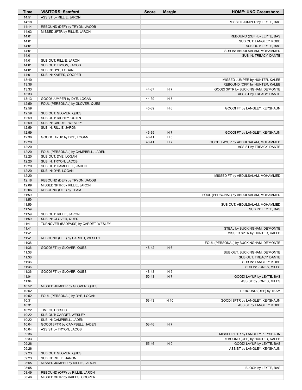| Time           | <b>VISITORS: Samford</b>             | <b>Score</b> | <b>Margin</b>  | <b>HOME: UNC Greensboro</b>                                   |
|----------------|--------------------------------------|--------------|----------------|---------------------------------------------------------------|
| 14:51          | ASSIST by RILLIE, JARON              |              |                |                                                               |
| 14:18          |                                      |              |                | MISSED JUMPER by LEYTE, BAS                                   |
| 14:14          | REBOUND (DEF) by TRYON, JACOB        |              |                |                                                               |
| 14:03<br>14:01 | MISSED 3PTR by RILLIE, JARON         |              |                | REBOUND (DEF) by LEYTE, BAS                                   |
| 14:01          |                                      |              |                | SUB OUT: LANGLEY, KOBE                                        |
| 14:01          |                                      |              |                | SUB OUT: LEYTE, BAS                                           |
| 14:01          |                                      |              |                | SUB IN: ABDULSALAM, MOHAMMED                                  |
| 14:01          |                                      |              |                | SUB IN: TREACY, DANTE                                         |
| 14:01          | SUB OUT: RILLIE, JARON               |              |                |                                                               |
| 14:01          | SUB OUT: TRYON, JACOB                |              |                |                                                               |
| 14:01          | SUB IN: DYE, LOGAN                   |              |                |                                                               |
| 14:01          | SUB IN: KAIFES, COOPER               |              |                |                                                               |
| 13:40          |                                      |              |                | MISSED JUMPER by HUNTER, KALEB                                |
| 13:36          |                                      |              | H 7            | REBOUND (OFF) by HUNTER, KALEB                                |
| 13:33<br>13:33 |                                      | 44-37        |                | GOOD! 3PTR by BUCKINGHAM, DE'MONTE<br>ASSIST by TREACY, DANTE |
| 13:13          | GOOD! JUMPER by DYE, LOGAN           | 44-39        | H <sub>5</sub> |                                                               |
| 12:59          | FOUL (PERSONAL) by GLOVER, QUES      |              |                |                                                               |
| 12:59          |                                      | 45-39        | H <sub>6</sub> | GOOD! FT by LANGLEY, KEYSHAUN                                 |
| 12:59          | SUB OUT: GLOVER, QUES                |              |                |                                                               |
| 12:59          | SUB OUT: RICHEY, QUINN               |              |                |                                                               |
| 12:59          | SUB IN: CARDET, WESLEY               |              |                |                                                               |
| 12:59          | SUB IN: RILLIE, JARON                |              |                |                                                               |
| 12:59          |                                      | 46-39        | H <sub>7</sub> | GOOD! FT by LANGLEY, KEYSHAUN                                 |
| 12:36          | GOOD! LAYUP by DYE, LOGAN            | 46-41        | H <sub>5</sub> |                                                               |
| 12:20<br>12:20 |                                      | 48-41        | H 7            | GOOD! LAYUP by ABDULSALAM, MOHAMMED                           |
| 12:20          | FOUL (PERSONAL) by CAMPBELL, JADEN   |              |                | ASSIST by TREACY, DANTE                                       |
| 12:20          | SUB OUT: DYE, LOGAN                  |              |                |                                                               |
| 12:20          | SUB IN: TRYON, JACOB                 |              |                |                                                               |
| 12:20          | SUB OUT: CAMPBELL, JADEN             |              |                |                                                               |
| 12:20          | SUB IN: DYE, LOGAN                   |              |                |                                                               |
| 12:20          |                                      |              |                | MISSED FT by ABDULSALAM, MOHAMMED                             |
| 12:18          | REBOUND (DEF) by TRYON, JACOB        |              |                |                                                               |
| 12:09          | MISSED 3PTR by RILLIE, JARON         |              |                |                                                               |
| 12:06          | REBOUND (OFF) by TEAM                |              |                |                                                               |
| 11:59<br>11:59 |                                      |              |                | FOUL (PERSONAL) by ABDULSALAM, MOHAMMED                       |
| 11:59          |                                      |              |                | SUB OUT: ABDULSALAM, MOHAMMED                                 |
| 11:59          |                                      |              |                | SUB IN: LEYTE, BAS                                            |
| 11:59          | SUB OUT: RILLIE, JARON               |              |                |                                                               |
| 11:59          | SUB IN: GLOVER, QUES                 |              |                |                                                               |
| 11:41          | TURNOVER (BADPASS) by CARDET, WESLEY |              |                |                                                               |
| 11:41          |                                      |              |                | STEAL by BUCKINGHAM, DE'MONTE                                 |
| 11:41          |                                      |              |                | MISSED 3PTR by HUNTER, KALEB                                  |
| 11:41          | REBOUND (DEF) by CARDET, WESLEY      |              |                |                                                               |
| 11:36          |                                      |              |                | FOUL (PERSONAL) by BUCKINGHAM, DE'MONTE                       |
| 11:36<br>11:36 | GOOD! FT by GLOVER, QUES             | 48-42        | H <sub>6</sub> | SUB OUT: BUCKINGHAM, DE'MONTE                                 |
| 11:36          |                                      |              |                | SUB OUT: TREACY, DANTE                                        |
| 11:36          |                                      |              |                | SUB IN: LANGLEY, KOBE                                         |
| 11:36          |                                      |              |                | SUB IN: JONES, MILES                                          |
| 11:36          | GOOD! FT by GLOVER, QUES             | 48-43        | H 5            |                                                               |
| 11:04          |                                      | $50 - 43$    | H 7            | GOOD! LAYUP by LEYTE, BAS                                     |
| 11:04          |                                      |              |                | ASSIST by JONES, MILES                                        |
| 10:52          | MISSED JUMPER by GLOVER, QUES        |              |                |                                                               |
| 10:52          |                                      |              |                | REBOUND (DEF) by TEAM                                         |
| 10:52          | FOUL (PERSONAL) by DYE, LOGAN        |              |                |                                                               |
| 10:31          |                                      | 53-43        | H 10           | GOOD! 3PTR by LANGLEY, KEYSHAUN                               |
| 10:31<br>10:22 | TIMEOUT 30SEC                        |              |                | ASSIST by LANGLEY, KOBE                                       |
| 10:22          | SUB OUT: CARDET, WESLEY              |              |                |                                                               |
| 10:22          | SUB IN: CAMPBELL, JADEN              |              |                |                                                               |
| 10:04          | GOOD! 3PTR by CAMPBELL, JADEN        | 53-46        | H 7            |                                                               |
| 10:04          | ASSIST by TRYON, JACOB               |              |                |                                                               |
| 09:36          |                                      |              |                | MISSED 3PTR by LANGLEY, KEYSHAUN                              |
| 09:33          |                                      |              |                | REBOUND (OFF) by HUNTER, KALEB                                |
| 09:26          |                                      | 55-46        | H <sub>9</sub> | GOOD! LAYUP by LEYTE, BAS                                     |
| 09:26          |                                      |              |                | ASSIST by LANGLEY, KEYSHAUN                                   |
| 09:23          | SUB OUT: GLOVER, QUES                |              |                |                                                               |
| 09:23          | SUB IN: RILLIE, JARON                |              |                |                                                               |
| 08:55<br>08:55 | MISSED JUMPER by RILLIE, JARON       |              |                |                                                               |
| 08:49          | REBOUND (OFF) by RILLIE, JARON       |              |                | BLOCK by LEYTE, BAS                                           |
| 08:46          | MISSED 3PTR by KAIFES, COOPER        |              |                |                                                               |
|                |                                      |              |                |                                                               |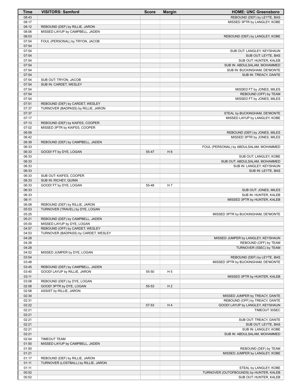| <b>Time</b>    | <b>VISITORS: Samford</b>                                               | <b>Score</b> | <b>Margin</b>  | <b>HOME: UNC Greensboro</b>                                  |
|----------------|------------------------------------------------------------------------|--------------|----------------|--------------------------------------------------------------|
| 08:43          |                                                                        |              |                | REBOUND (DEF) by LEYTE, BAS                                  |
| 08:17          |                                                                        |              |                | MISSED 3PTR by LANGLEY, KOBE                                 |
| 08:12<br>08:06 | REBOUND (DEF) by RILLIE, JARON<br>MISSED LAYUP by CAMPBELL, JADEN      |              |                |                                                              |
| 08:03          |                                                                        |              |                | REBOUND (DEF) by LANGLEY, KOBE                               |
| 07:54          | FOUL (PERSONAL) by TRYON, JACOB                                        |              |                |                                                              |
| 07:54          |                                                                        |              |                |                                                              |
| 07:54          |                                                                        |              |                | SUB OUT: LANGLEY, KEYSHAUN                                   |
| 07:54          |                                                                        |              |                | SUB OUT: LEYTE, BAS                                          |
| 07:54          |                                                                        |              |                | SUB OUT: HUNTER, KALEB                                       |
| 07:54<br>07:54 |                                                                        |              |                | SUB IN: ABDULSALAM, MOHAMMED<br>SUB IN: BUCKINGHAM, DE'MONTE |
| 07:54          |                                                                        |              |                | SUB IN: TREACY, DANTE                                        |
| 07:54          | SUB OUT: TRYON, JACOB                                                  |              |                |                                                              |
| 07:54          | SUB IN: CARDET, WESLEY                                                 |              |                |                                                              |
| 07:54          |                                                                        |              |                | MISSED FT by JONES, MILES                                    |
| 07:54          |                                                                        |              |                | REBOUND (OFF) by TEAM                                        |
| 07:54          |                                                                        |              |                | MISSED FT by JONES, MILES                                    |
| 07:51<br>07:37 | REBOUND (DEF) by CARDET, WESLEY<br>TURNOVER (BADPASS) by RILLIE, JARON |              |                |                                                              |
| 07:37          |                                                                        |              |                | STEAL by BUCKINGHAM, DE'MONTE                                |
| 07:17          |                                                                        |              |                | MISSED LAYUP by LANGLEY, KOBE                                |
| 07:13          | REBOUND (DEF) by KAIFES, COOPER                                        |              |                |                                                              |
| 07:02          | MISSED 3PTR by KAIFES, COOPER                                          |              |                |                                                              |
| 06:59          |                                                                        |              |                | REBOUND (DEF) by JONES, MILES                                |
| 06:42          |                                                                        |              |                | MISSED 3PTR by JONES, MILES                                  |
| 06:39          | REBOUND (DEF) by CAMPBELL, JADEN                                       |              |                |                                                              |
| 06:33<br>06:33 | GOOD! FT by DYE, LOGAN                                                 | 55-47        | H 8            | FOUL (PERSONAL) by ABDULSALAM, MOHAMMED                      |
| 06:33          |                                                                        |              |                | SUB OUT: LANGLEY, KOBE                                       |
| 06:33          |                                                                        |              |                | SUB OUT: ABDULSALAM, MOHAMMED                                |
| 06:33          |                                                                        |              |                | SUB IN: LANGLEY, KEYSHAUN                                    |
| 06:33          |                                                                        |              |                | SUB IN: LEYTE, BAS                                           |
| 06:33          | SUB OUT: KAIFES, COOPER                                                |              |                |                                                              |
| 06:33          | SUB IN: RICHEY, QUINN                                                  |              |                |                                                              |
| 06:33<br>06:33 | GOOD! FT by DYE, LOGAN                                                 | 55-48        | H 7            | SUB OUT: JONES, MILES                                        |
| 06:33          |                                                                        |              |                | SUB IN: HUNTER, KALEB                                        |
| 06:11          |                                                                        |              |                | MISSED 3PTR by HUNTER, KALEB                                 |
| 06:08          | REBOUND (DEF) by RILLIE, JARON                                         |              |                |                                                              |
| 05:53          | TURNOVER (TRAVEL) by DYE, LOGAN                                        |              |                |                                                              |
| 05:25          |                                                                        |              |                | MISSED 3PTR by BUCKINGHAM, DE'MONTE                          |
| 05:21          | REBOUND (DEF) by CAMPBELL, JADEN                                       |              |                |                                                              |
| 05:00<br>04:57 | MISSED LAYUP by DYE, LOGAN<br>REBOUND (OFF) by CARDET, WESLEY          |              |                |                                                              |
| 04:53          | TURNOVER (BADPASS) by CARDET, WESLEY                                   |              |                |                                                              |
| 04:28          |                                                                        |              |                | MISSED JUMPER by LANGLEY, KEYSHAUN                           |
| 04:28          |                                                                        |              |                | REBOUND (OFF) by TEAM                                        |
| 04:28          |                                                                        |              |                | TURNOVER (5SEC) by TEAM                                      |
| 04:02          | MISSED JUMPER by DYE, LOGAN                                            |              |                |                                                              |
| 03:54          |                                                                        |              |                | REBOUND (DEF) by LEYTE, BAS                                  |
| 03:48<br>03:45 | REBOUND (DEF) by CAMPBELL, JADEN                                       |              |                | MISSED 3PTR by BUCKINGHAM, DE'MONTE                          |
| 03:40          | GOOD! LAYUP by RILLIE, JARON                                           | 55-50        | H <sub>5</sub> |                                                              |
| 03:11          |                                                                        |              |                | MISSED 3PTR by HUNTER, KALEB                                 |
| 03:08          | REBOUND (DEF) by DYE, LOGAN                                            |              |                |                                                              |
| 02:58          | GOOD! 3PTR by DYE, LOGAN                                               | 55-53        | H <sub>2</sub> |                                                              |
| 02:58          | ASSIST by RILLIE, JARON                                                |              |                |                                                              |
| 02:34          |                                                                        |              |                | MISSED JUMPER by TREACY, DANTE                               |
| 02:31          |                                                                        |              |                | REBOUND (OFF) by TREACY, DANTE                               |
| 02:22<br>02:21 |                                                                        | 57-53        | H 4            | GOOD! LAYUP by LANGLEY, KEYSHAUN<br>TIMEOUT 30SEC            |
| 02:21          |                                                                        |              |                |                                                              |
| 02:21          |                                                                        |              |                | SUB OUT: TREACY, DANTE                                       |
| 02:21          |                                                                        |              |                | SUB OUT: LEYTE, BAS                                          |
| 02:21          |                                                                        |              |                | SUB IN: LANGLEY, KOBE                                        |
| 02:21          |                                                                        |              |                | SUB IN: ABDULSALAM, MOHAMMED                                 |
| 02:04          | <b>TIMEOUT TEAM</b>                                                    |              |                |                                                              |
| 01:50          | MISSED LAYUP by CAMPBELL, JADEN                                        |              |                |                                                              |
| 01:50<br>01:21 |                                                                        |              |                | REBOUND (DEF) by TEAM<br>MISSED JUMPER by LANGLEY, KOBE      |
| 01:17          | REBOUND (DEF) by RILLIE, JARON                                         |              |                |                                                              |
| 01:11          | TURNOVER (LOSTBALL) by RILLIE, JARON                                   |              |                |                                                              |
| 01:11          |                                                                        |              |                | STEAL by LANGLEY, KOBE                                       |
| 00:52          |                                                                        |              |                | TURNOVER (OUTOFBOUNDS) by HUNTER, KALEB                      |
| 00:52          |                                                                        |              |                | SUB OUT: HUNTER, KALEB                                       |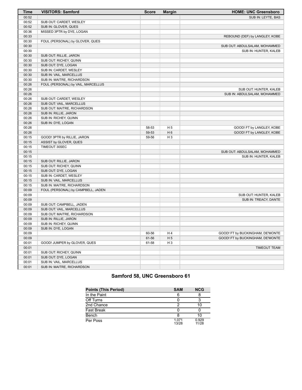| <b>Time</b>    | <b>VISITORS: Samford</b>           | <b>Score</b> | <b>Margin</b>  | <b>HOME: UNC Greensboro</b>      |
|----------------|------------------------------------|--------------|----------------|----------------------------------|
| 00:52          |                                    |              |                | SUB IN: LEYTE, BAS               |
| 00:52          | SUB OUT: CARDET, WESLEY            |              |                |                                  |
| 00:52          | SUB IN: GLOVER, QUES               |              |                |                                  |
| 00:36          | MISSED 3PTR by DYE, LOGAN          |              |                |                                  |
| 00:33          |                                    |              |                | REBOUND (DEF) by LANGLEY, KOBE   |
| 00:30          | FOUL (PERSONAL) by GLOVER, QUES    |              |                |                                  |
| 00:30          |                                    |              |                | SUB OUT: ABDULSALAM, MOHAMMED    |
| 00:30          |                                    |              |                | SUB IN: HUNTER, KALEB            |
| 00:30          | SUB OUT: RILLIE, JARON             |              |                |                                  |
| 00:30          | SUB OUT: RICHEY, QUINN             |              |                |                                  |
| 00:30          | SUB OUT: DYE, LOGAN                |              |                |                                  |
| 00:30          | SUB IN: CARDET, WESLEY             |              |                |                                  |
| 00:30          | SUB IN: VAIL, MARCELLUS            |              |                |                                  |
| 00:30          | SUB IN: MAITRE, RICHARDSON         |              |                |                                  |
| 00:26          | FOUL (PERSONAL) by VAIL, MARCELLUS |              |                |                                  |
| 00:26          |                                    |              |                | SUB OUT: HUNTER, KALEB           |
| 00:26          |                                    |              |                | SUB IN: ABDULSALAM, MOHAMMED     |
| 00:26          | SUB OUT: CARDET, WESLEY            |              |                |                                  |
| 00:26          | SUB OUT: VAIL, MARCELLUS           |              |                |                                  |
| 00:26          | SUB OUT: MAITRE, RICHARDSON        |              |                |                                  |
| 00:26          | SUB IN: RILLIE, JARON              |              |                |                                  |
| 00:26          | SUB IN: RICHEY, QUINN              |              |                |                                  |
| 00:26          | SUB IN: DYE, LOGAN                 |              |                |                                  |
| 00:26          |                                    | 58-53        | H <sub>5</sub> | GOOD! FT by LANGLEY, KOBE        |
|                |                                    |              | H <sub>6</sub> |                                  |
| 00:26<br>00:15 |                                    | 59-53        | $H_3$          | GOOD! FT by LANGLEY, KOBE        |
|                | GOOD! 3PTR by RILLIE, JARON        | 59-56        |                |                                  |
| 00:15          | ASSIST by GLOVER, QUES             |              |                |                                  |
| 00:15          | TIMEOUT 30SEC                      |              |                |                                  |
| 00:15          |                                    |              |                | SUB OUT: ABDULSALAM, MOHAMMED    |
| 00:15          |                                    |              |                | SUB IN: HUNTER, KALEB            |
| 00:15          | SUB OUT: RILLIE, JARON             |              |                |                                  |
| 00:15          | SUB OUT: RICHEY, QUINN             |              |                |                                  |
| 00:15          | SUB OUT: DYE, LOGAN                |              |                |                                  |
| 00:15          | SUB IN: CARDET, WESLEY             |              |                |                                  |
| 00:15          | SUB IN: VAIL, MARCELLUS            |              |                |                                  |
| 00:15          | SUB IN: MAITRE, RICHARDSON         |              |                |                                  |
| 00:09          | FOUL (PERSONAL) by CAMPBELL, JADEN |              |                |                                  |
| 00:09          |                                    |              |                | SUB OUT: HUNTER, KALEB           |
| 00:09          |                                    |              |                | SUB IN: TREACY, DANTE            |
| 00:09          | SUB OUT: CAMPBELL, JADEN           |              |                |                                  |
| 00:09          | SUB OUT: VAIL, MARCELLUS           |              |                |                                  |
| 00:09          | SUB OUT: MAITRE, RICHARDSON        |              |                |                                  |
| 00:09          | SUB IN: RILLIE, JARON              |              |                |                                  |
| 00:09          | SUB IN: RICHEY, QUINN              |              |                |                                  |
| 00:09          | SUB IN: DYE, LOGAN                 |              |                |                                  |
| 00:09          |                                    | 60-56        | H4             | GOOD! FT by BUCKINGHAM, DE'MONTE |
| 00:09          |                                    | 61-56        | H <sub>5</sub> | GOOD! FT by BUCKINGHAM, DE'MONTE |
| 00:01          | GOOD! JUMPER by GLOVER, QUES       | 61-58        | H <sub>3</sub> |                                  |
| 00:01          |                                    |              |                | <b>TIMEOUT TEAM</b>              |
| 00:01          | SUB OUT: RICHEY, QUINN             |              |                |                                  |
| 00:01          | SUB OUT: DYE, LOGAN                |              |                |                                  |
| 00:01          | SUB IN: VAIL, MARCELLUS            |              |                |                                  |
| 00:01          | SUB IN: MAITRE, RICHARDSON         |              |                |                                  |

# **Samford 58, UNC Greensboro 61**

| <b>Points (This Period)</b> | <b>SAM</b>     | <b>NCG</b>     |
|-----------------------------|----------------|----------------|
| In the Paint                |                |                |
| Off Turns                   |                | ว              |
| 2nd Chance                  |                | 10             |
| <b>Fast Break</b>           |                |                |
| Bench                       |                | 10             |
| Per Poss                    | 1.071<br>13/28 | 0.929<br>11/28 |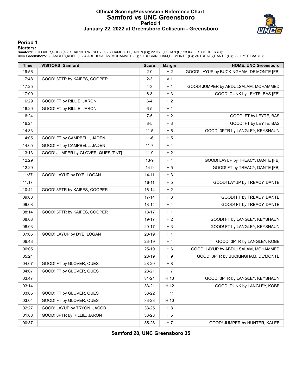#### **Official Scoring/Possession Reference Chart Samford vs UNC Greensboro Period 1 January 22, 2022 at Greensboro Coliseum - Greensboro**



#### **Period 1**

<mark>Starters:</mark><br>Samford: 0 GLOVER,QUES (G); 1 CARDET,WESLEY (G); 2 CAMPBELL,JADEN (G); 22 DYE,LOGAN (F); 23 KAIFES,COOPER (G);<br>**UNC Greensboro**: 3 LANGLEY,KOBE (G); 4 ABDULSALAM,MOHAMMED (F); 10 BUCKINGHAM,DE'MONTE (G); 24 TRE

| <b>Time</b> | <b>VISITORS: Samford</b>           | <b>Score</b> | <b>Margin</b>  | <b>HOME: UNC Greensboro</b>              |
|-------------|------------------------------------|--------------|----------------|------------------------------------------|
| 19:56       |                                    | $2 - 0$      | H <sub>2</sub> | GOOD! LAYUP by BUCKINGHAM, DE'MONTE [FB] |
| 17:48       | GOOD! 3PTR by KAIFES, COOPER       | $2 - 3$      | V <sub>1</sub> |                                          |
| 17:25       |                                    | $4 - 3$      | H <sub>1</sub> | GOOD! JUMPER by ABDULSALAM, MOHAMMED     |
| 17:00       |                                    | $6 - 3$      | $H_3$          | GOOD! DUNK by LEYTE, BAS [FB]            |
| 16:29       | GOOD! FT by RILLIE, JARON          | $6 - 4$      | H <sub>2</sub> |                                          |
| 16:29       | GOOD! FT by RILLIE, JARON          | $6-5$        | H <sub>1</sub> |                                          |
| 16:24       |                                    | $7-5$        | H <sub>2</sub> | GOOD! FT by LEYTE, BAS                   |
| 16:24       |                                    | $8 - 5$      | $H_3$          | GOOD! FT by LEYTE, BAS                   |
| 14:33       |                                    | $11 - 5$     | H <sub>6</sub> | GOOD! 3PTR by LANGLEY, KEYSHAUN          |
| 14:05       | GOOD! FT by CAMPBELL, JADEN        | $11 - 6$     | H <sub>5</sub> |                                          |
| 14:05       | GOOD! FT by CAMPBELL, JADEN        | $11 - 7$     | H 4            |                                          |
| 13:13       | GOOD! JUMPER by GLOVER, QUES [PNT] | $11 - 9$     | H <sub>2</sub> |                                          |
| 12:29       |                                    | $13-9$       | H 4            | GOOD! LAYUP by TREACY, DANTE [FB]        |
| 12:29       |                                    | $14-9$       | H <sub>5</sub> | GOOD! FT by TREACY, DANTE [FB]           |
| 11:37       | GOOD! LAYUP by DYE, LOGAN          | $14 - 11$    | $H_3$          |                                          |
| 11:17       |                                    | $16-11$      | H <sub>5</sub> | GOOD! LAYUP by TREACY, DANTE             |
| 10:41       | GOOD! 3PTR by KAIFES, COOPER       | $16 - 14$    | H <sub>2</sub> |                                          |
| 09:08       |                                    | $17 - 14$    | $H_3$          | GOOD! FT by TREACY, DANTE                |
| 09:08       |                                    | $18 - 14$    | H 4            | GOOD! FT by TREACY, DANTE                |
| 08:14       | GOOD! 3PTR by KAIFES, COOPER       | 18-17        | H <sub>1</sub> |                                          |
| 08:03       |                                    | 19-17        | H <sub>2</sub> | GOOD! FT by LANGLEY, KEYSHAUN            |
| 08:03       |                                    | $20 - 17$    | $H_3$          | GOOD! FT by LANGLEY, KEYSHAUN            |
| 07:05       | GOOD! LAYUP by DYE, LOGAN          | 20-19        | H <sub>1</sub> |                                          |
| 06:43       |                                    | 23-19        | H 4            | GOOD! 3PTR by LANGLEY, KOBE              |
| 06:05       |                                    | 25-19        | H <sub>6</sub> | GOOD! LAYUP by ABDULSALAM, MOHAMMED      |
| 05:24       |                                    | 28-19        | H 9            | GOOD! 3PTR by BUCKINGHAM, DE'MONTE       |
| 04:07       | GOOD! FT by GLOVER, QUES           | 28-20        | H <sub>8</sub> |                                          |
| 04:07       | GOOD! FT by GLOVER, QUES           | 28-21        | H 7            |                                          |
| 03:47       |                                    | $31 - 21$    | H 10           | GOOD! 3PTR by LANGLEY, KEYSHAUN          |
| 03:14       |                                    | 33-21        | H 12           | GOOD! DUNK by LANGLEY, KOBE              |
| 03:05       | GOOD! FT by GLOVER, QUES           | 33-22        | H 11           |                                          |
| 03:04       | GOOD! FT by GLOVER, QUES           | 33-23        | H 10           |                                          |
| 02:27       | GOOD! LAYUP by TRYON, JACOB        | 33-25        | H <sub>8</sub> |                                          |
| 01:08       | GOOD! 3PTR by RILLIE, JARON        | 33-28        | H 5            |                                          |
| 00:37       |                                    | 35-28        | H 7            | GOOD! JUMPER by HUNTER, KALEB            |

**Samford 28, UNC Greensboro 35**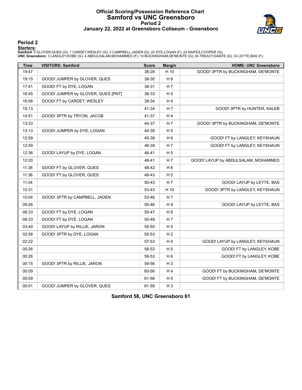#### **Official Scoring/Possession Reference Chart Samford vs UNC Greensboro Period 2 January 22, 2022 at Greensboro Coliseum - Greensboro**



#### **Period 2**

#### **Starters:**

**Samford**: 0 GLOVER,QUES (G); 1 CARDET,WESLEY (G); 2 CAMPBELL,JADEN (G); 22 DYE,LOGAN (F); 23 KAIFES,COOPER (G);<br>**UNC Greensboro**: 3 LANGLEY,KOBE (G); 4 ABDULSALAM,MOHAMMED (F); 10 BUCKINGHAM,DE'MONTE (G); 24 TREACY,DANTE

| <b>Time</b> | <b>VISITORS: Samford</b>           | <b>Score</b> | <b>Margin</b>  | <b>HOME: UNC Greensboro</b>         |
|-------------|------------------------------------|--------------|----------------|-------------------------------------|
| 19:47       |                                    | 38-28        | H 10           | GOOD! 3PTR by BUCKINGHAM, DE'MONTE  |
| 19:15       | GOOD! JUMPER by GLOVER, QUES       | 38-30        | H 8            |                                     |
| 17:41       | GOOD! FT by DYE, LOGAN             | 38-31        | H 7            |                                     |
| 16:45       | GOOD! JUMPER by GLOVER, QUES [PNT] | 38-33        | H <sub>5</sub> |                                     |
| 16:08       | GOOD! FT by CARDET, WESLEY         | 38-34        | H 4            |                                     |
| 15:13       |                                    | 41-34        | H 7            | GOOD! 3PTR by HUNTER, KALEB         |
| 14:51       | GOOD! 3PTR by TRYON, JACOB         | 41-37        | H 4            |                                     |
| 13:33       |                                    | 44-37        | H 7            | GOOD! 3PTR by BUCKINGHAM, DE'MONTE  |
| 13:13       | GOOD! JUMPER by DYE, LOGAN         | 44-39        | H <sub>5</sub> |                                     |
| 12:59       |                                    | 45-39        | H <sub>6</sub> | GOOD! FT by LANGLEY, KEYSHAUN       |
| 12:59       |                                    | 46-39        | H 7            | GOOD! FT by LANGLEY, KEYSHAUN       |
| 12:36       | GOOD! LAYUP by DYE, LOGAN          | 46-41        | H 5            |                                     |
| 12:20       |                                    | 48-41        | H 7            | GOOD! LAYUP by ABDULSALAM, MOHAMMED |
| 11:36       | GOOD! FT by GLOVER, QUES           | 48-42        | H <sub>6</sub> |                                     |
| 11:36       | GOOD! FT by GLOVER, QUES           | 48-43        | H <sub>5</sub> |                                     |
| 11:04       |                                    | 50-43        | H 7            | GOOD! LAYUP by LEYTE, BAS           |
| 10:31       |                                    | 53-43        | H 10           | GOOD! 3PTR by LANGLEY, KEYSHAUN     |
| 10:04       | GOOD! 3PTR by CAMPBELL, JADEN      | 53-46        | H 7            |                                     |
| 09:26       |                                    | 55-46        | H9             | GOOD! LAYUP by LEYTE, BAS           |
| 06:33       | GOOD! FT by DYE, LOGAN             | 55-47        | H 8            |                                     |
| 06:33       | GOOD! FT by DYE, LOGAN             | 55-48        | H 7            |                                     |
| 03:40       | GOOD! LAYUP by RILLIE, JARON       | 55-50        | H 5            |                                     |
| 02:58       | GOOD! 3PTR by DYE, LOGAN           | 55-53        | H <sub>2</sub> |                                     |
| 02:22       |                                    | 57-53        | H4             | GOOD! LAYUP by LANGLEY, KEYSHAUN    |
| 00:26       |                                    | 58-53        | H <sub>5</sub> | GOOD! FT by LANGLEY, KOBE           |
| 00:26       |                                    | 59-53        | H <sub>6</sub> | GOOD! FT by LANGLEY, KOBE           |
| 00:15       | GOOD! 3PTR by RILLIE, JARON        | 59-56        | $H_3$          |                                     |
| 00:09       |                                    | 60-56        | H4             | GOOD! FT by BUCKINGHAM, DE'MONTE    |
| 00:09       |                                    | 61-56        | H <sub>5</sub> | GOOD! FT by BUCKINGHAM, DE'MONTE    |
| 00:01       | GOOD! JUMPER by GLOVER, QUES       | 61-58        | $H_3$          |                                     |

**Samford 58, UNC Greensboro 61**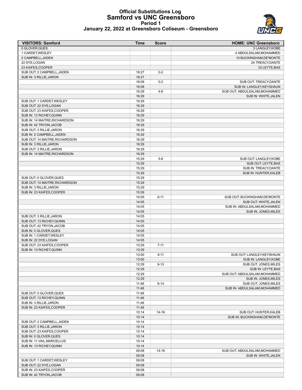#### **Official Substitutions Log Samford vs UNC Greensboro Period 1 January 22, 2022 at Greensboro Coliseum - Greensboro**



| <u>vanuary 22, 2022 at Orcension o Ochscam - Orcension o</u> |  |      |              |  |                             |
|--------------------------------------------------------------|--|------|--------------|--|-----------------------------|
| <b>VISITORS: Samford</b>                                     |  | Time | <b>Score</b> |  | <b>HOME: UNC Greensboro</b> |
| 0 GLOVER.QUES                                                |  |      |              |  | 3 LANGLEY.KOBE              |
| 1 CARDET.WESLEY                                              |  |      |              |  | 4 ABDULSALAM.MOHAMMED       |
| 2 CAMPBELL.JADEN                                             |  |      |              |  | 10 BUCKINGHAM, DE'MONTE     |
| 22 DYE LOGAN                                                 |  |      |              |  | 24 TREACY DANTE             |

| 2 CAMPBELL, JADEN              |                |           | 10 BUCKINGHAM, DE'MONTE                                |
|--------------------------------|----------------|-----------|--------------------------------------------------------|
| 22 DYE, LOGAN                  |                |           | 24 TREACY, DANTE                                       |
| 23 KAIFES, COOPER              |                |           | 33 LEYTE, BAS                                          |
| SUB OUT: 2 CAMPBELL, JADEN     | 18:27          | $0 - 2$   |                                                        |
| SUB IN: 3 RILLIE, JARON        | 18:27          |           |                                                        |
|                                | 18:08          | $0 - 2$   | SUB OUT: TREACY, DANTE                                 |
|                                | 18:08          |           | SUB IN: LANGLEY, KEYSHAUN                              |
|                                | 16:29          | $4-6$     | SUB OUT: ABDULSALAM, MOHAMMED                          |
|                                | 16:29          |           | SUB IN: WHITE, JALEN                                   |
| SUB OUT: 1 CARDET, WESLEY      | 16:29          |           |                                                        |
| SUB OUT: 22 DYE, LOGAN         | 16:29          |           |                                                        |
| SUB OUT: 23 KAIFES, COOPER     | 16:29          |           |                                                        |
| SUB IN: 13 RICHEY, QUINN       | 16:29          |           |                                                        |
| SUB IN: 14 MAITRE, RICHARDSON  | 16:29          |           |                                                        |
| SUB IN: 42 TRYON, JACOB        | 16:29          |           |                                                        |
| SUB OUT: 3 RILLIE, JARON       | 16:29          |           |                                                        |
| SUB IN: 2 CAMPBELL, JADEN      | 16:29          |           |                                                        |
| SUB OUT: 14 MAITRE, RICHARDSON | 16:29          |           |                                                        |
| SUB IN: 3 RILLIE, JARON        | 16:29          |           |                                                        |
| SUB OUT: 3 RILLIE, JARON       | 16:29          |           |                                                        |
| SUB IN: 14 MAITRE, RICHARDSON  | 16:29          |           |                                                        |
|                                | 15:29          | $5 - 8$   | SUB OUT: LANGLEY, KOBE                                 |
|                                | 15:29          |           | SUB OUT: LEYTE, BAS                                    |
|                                | 15:29          |           | SUB IN: TREACY, DANTE                                  |
|                                | 15:29          |           | SUB IN: HUNTER, KALEB                                  |
| SUB OUT: 0 GLOVER, QUES        | 15:29          |           |                                                        |
| SUB OUT: 14 MAITRE, RICHARDSON | 15:29          |           |                                                        |
| SUB IN: 3 RILLIE, JARON        | 15:29          |           |                                                        |
| SUB IN: 23 KAIFES, COOPER      | 15:29          |           |                                                        |
|                                | 14:05          | $6 - 11$  | SUB OUT: BUCKINGHAM, DE'MONTE                          |
|                                | 14:05          |           | SUB OUT: WHITE, JALEN                                  |
|                                | 14:05          |           | SUB IN: ABDULSALAM, MOHAMMED                           |
|                                | 14:05          |           | SUB IN: JONES, MILES                                   |
| SUB OUT: 3 RILLIE, JARON       | 14:05          |           |                                                        |
| SUB OUT: 13 RICHEY, QUINN      | 14:05          |           |                                                        |
| SUB OUT: 42 TRYON, JACOB       | 14:05          |           |                                                        |
| SUB IN: 0 GLOVER, QUES         | 14:05          |           |                                                        |
| SUB IN: 1 CARDET, WESLEY       | 14:05          |           |                                                        |
| SUB IN: 22 DYE, LOGAN          | 14:05          |           |                                                        |
| SUB OUT: 23 KAIFES, COOPER     | 13:29          | $7 - 11$  |                                                        |
| SUB IN: 13 RICHEY, QUINN       | 13:29          |           |                                                        |
|                                | 13:00          | $9 - 11$  | SUB OUT: LANGLEY, KEYSHAUN                             |
|                                | 13:00          |           | SUB IN: LANGLEY, KOBE                                  |
|                                | 12:29          | $9 - 13$  | SUB OUT: JONES, MILES                                  |
|                                | 12:29          |           | SUB IN: LEYTE, BAS                                     |
|                                | 12:29          |           | SUB OUT: ABDULSALAM, MOHAMMED                          |
|                                | 12:29          |           | SUB IN: JONES, MILES                                   |
|                                | 11:48          | $9 - 14$  | SUB OUT: JONES, MILES                                  |
|                                |                |           | SUB IN: ABDULSALAM, MOHAMMED                           |
| SUB OUT: 0 GLOVER, QUES        | 11:48<br>11:48 |           |                                                        |
| SUB OUT: 13 RICHEY, QUINN      | 11:48          |           |                                                        |
| SUB IN: 3 RILLIE, JARON        | 11:48          |           |                                                        |
| SUB IN: 23 KAIFES, COOPER      | 11:48          |           |                                                        |
|                                | 10:14          | $14 - 16$ |                                                        |
|                                | 10:14          |           | SUB OUT: HUNTER, KALEB<br>SUB IN: BUCKINGHAM, DE'MONTE |
|                                |                |           |                                                        |
| SUB OUT: 2 CAMPBELL, JADEN     | 10:14          |           |                                                        |
| SUB OUT: 3 RILLIE, JARON       | 10:14          |           |                                                        |
| SUB OUT: 23 KAIFES, COOPER     | 10:14          |           |                                                        |
| SUB IN: 0 GLOVER, QUES         | 10:14          |           |                                                        |
| SUB IN: 11 VAIL, MARCELLUS     | 10:14          |           |                                                        |
| SUB IN: 13 RICHEY, QUINN       | 10:14          |           |                                                        |
|                                | 09:08          | 14-16     | SUB OUT: ABDULSALAM, MOHAMMED                          |
|                                | 09:08          |           | SUB IN: WHITE, JALEN                                   |
| SUB OUT: 1 CARDET, WESLEY      | 09:08          |           |                                                        |
| SUB OUT: 22 DYE, LOGAN         | 09:08          |           |                                                        |
| SUB IN: 23 KAIFES, COOPER      | 09:08          |           |                                                        |
| SUB IN: 42 TRYON, JACOB        | 09:08          |           |                                                        |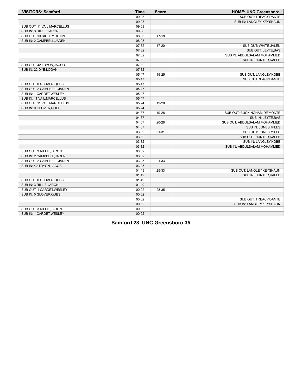| <b>VISITORS: Samford</b>    | <b>Time</b> | <b>Score</b> | <b>HOME: UNC Greensboro</b>   |
|-----------------------------|-------------|--------------|-------------------------------|
|                             | 09:08       |              | SUB OUT: TREACY, DANTE        |
|                             | 09:08       |              | SUB IN: LANGLEY, KEYSHAUN     |
| SUB OUT: 11 VAIL, MARCELLUS | 09:08       |              |                               |
| SUB IN: 3 RILLIE, JARON     | 09:08       |              |                               |
| SUB OUT: 13 RICHEY, QUINN   | 08:03       | $17-18$      |                               |
| SUB IN: 2 CAMPBELL, JADEN   | 08:03       |              |                               |
|                             | 07:32       | 17-20        | SUB OUT: WHITE, JALEN         |
|                             | 07:32       |              | SUB OUT: LEYTE, BAS           |
|                             | 07:32       |              | SUB IN: ABDULSALAM, MOHAMMED  |
|                             | 07:32       |              | SUB IN: HUNTER, KALEB         |
| SUB OUT: 42 TRYON, JACOB    | 07:32       |              |                               |
| SUB IN: 22 DYE, LOGAN       | 07:32       |              |                               |
|                             | 05:47       | 19-25        | SUB OUT: LANGLEY, KOBE        |
|                             | 05:47       |              | SUB IN: TREACY, DANTE         |
| SUB OUT: 0 GLOVER, QUES     | 05:47       |              |                               |
| SUB OUT: 2 CAMPBELL, JADEN  | 05:47       |              |                               |
| SUB IN: 1 CARDET, WESLEY    | 05:47       |              |                               |
| SUB IN: 11 VAIL, MARCELLUS  | 05:47       |              |                               |
| SUB OUT: 11 VAIL, MARCELLUS | 05:24       | 19-28        |                               |
| SUB IN: 0 GLOVER, QUES      | 05:24       |              |                               |
|                             | 04:37       | 19-28        | SUB OUT: BUCKINGHAM, DE'MONTE |
|                             | 04:37       |              | SUB IN: LEYTE, BAS            |
|                             | 04:07       | $20 - 28$    | SUB OUT: ABDULSALAM, MOHAMMED |
|                             | 04:07       |              | SUB IN: JONES, MILES          |
|                             | 03:32       | 21-31        | SUB OUT: JONES, MILES         |
|                             | 03:32       |              | SUB OUT: HUNTER, KALEB        |
|                             | 03:32       |              | SUB IN: LANGLEY, KOBE         |
|                             | 03:32       |              | SUB IN: ABDULSALAM, MOHAMMED  |
| SUB OUT: 3 RILLIE, JARON    | 03:32       |              |                               |
| SUB IN: 2 CAMPBELL, JADEN   | 03:32       |              |                               |
| SUB OUT: 2 CAMPBELL, JADEN  | 03:05       | 21-33        |                               |
| SUB IN: 42 TRYON, JACOB     | 03:05       |              |                               |
|                             | 01:49       | 25-33        | SUB OUT: LANGLEY, KEYSHAUN    |
|                             | 01:49       |              | SUB IN: HUNTER, KALEB         |
| SUB OUT: 0 GLOVER, QUES     | 01:49       |              |                               |
| SUB IN: 3 RILLIE, JARON     | 01:49       |              |                               |
| SUB OUT: 1 CARDET, WESLEY   | 00:02       | 28-35        |                               |
| SUB IN: 0 GLOVER, QUES      | 00:02       |              |                               |
|                             | 00:02       |              | SUB OUT: TREACY, DANTE        |
|                             | 00:02       |              | SUB IN: LANGLEY, KEYSHAUN     |
| SUB OUT: 3 RILLIE.JARON     | 00:02       |              |                               |
| SUB IN: 1 CARDET, WESLEY    | 00:02       |              |                               |

**Samford 28, UNC Greensboro 35**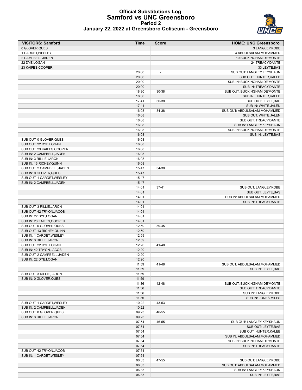# **Official Substitutions Log Samford vs UNC Greensboro Period 2**



| January 22, 2022 at Greensboro Coliseum - Greensboro |  |  |  |
|------------------------------------------------------|--|--|--|
|------------------------------------------------------|--|--|--|

| <b>VISITORS: Samford</b>   | Time  | <b>Score</b>             | <b>HOME: UNC Greensboro</b>   |
|----------------------------|-------|--------------------------|-------------------------------|
| 0 GLOVER, QUES             |       |                          | 3 LANGLEY, KOBE               |
| 1 CARDET, WESLEY           |       |                          | 4 ABDULSALAM, MOHAMMED        |
| 2 CAMPBELL, JADEN          |       |                          | 10 BUCKINGHAM, DE'MONTE       |
| 22 DYE, LOGAN              |       |                          | 24 TREACY, DANTE              |
| 23 KAIFES.COOPER           |       |                          | 33 LEYTE, BAS                 |
|                            | 20:00 |                          | SUB OUT: LANGLEY, KEYSHAUN    |
|                            |       | $\overline{\phantom{a}}$ |                               |
|                            | 20:00 |                          | SUB OUT: HUNTER, KALEB        |
|                            | 20:00 |                          | SUB IN: BUCKINGHAM, DE'MONTE  |
|                            | 20:00 |                          | SUB IN: TREACY, DANTE         |
|                            | 18:30 | 30-38                    | SUB OUT: BUCKINGHAM, DE'MONTE |
|                            | 18:30 |                          | SUB IN: HUNTER, KALEB         |
|                            | 17:41 | 30-38                    | SUB OUT: LEYTE, BAS           |
|                            | 17:41 |                          | SUB IN: WHITE, JALEN          |
|                            | 16:08 | 34-38                    | SUB OUT: ABDULSALAM, MOHAMMED |
|                            |       |                          |                               |
|                            | 16:08 |                          | SUB OUT: WHITE, JALEN         |
|                            | 16:08 |                          | SUB OUT: TREACY, DANTE        |
|                            | 16:08 |                          | SUB IN: LANGLEY, KEYSHAUN     |
|                            | 16:08 |                          | SUB IN: BUCKINGHAM, DE'MONTE  |
|                            | 16:08 |                          | SUB IN: LEYTE, BAS            |
| SUB OUT: 0 GLOVER, QUES    | 16:08 |                          |                               |
| SUB OUT: 22 DYE, LOGAN     | 16:08 |                          |                               |
| SUB OUT: 23 KAIFES, COOPER | 16:08 |                          |                               |
|                            |       |                          |                               |
| SUB IN: 2 CAMPBELL, JADEN  | 16:08 |                          |                               |
| SUB IN: 3 RILLIE, JARON    | 16:08 |                          |                               |
| SUB IN: 13 RICHEY.QUINN    | 16:08 |                          |                               |
| SUB OUT: 2 CAMPBELL, JADEN | 15:47 | 34-38                    |                               |
| SUB IN: 0 GLOVER, QUES     | 15:47 |                          |                               |
| SUB OUT: 1 CARDET, WESLEY  | 15:47 |                          |                               |
| SUB IN: 2 CAMPBELL, JADEN  | 15:47 |                          |                               |
|                            | 14:01 | $37 - 41$                | SUB OUT: LANGLEY, KOBE        |
|                            |       |                          |                               |
|                            | 14:01 |                          | SUB OUT: LEYTE, BAS           |
|                            | 14:01 |                          | SUB IN: ABDULSALAM, MOHAMMED  |
|                            | 14:01 |                          | SUB IN: TREACY, DANTE         |
| SUB OUT: 3 RILLIE, JARON   | 14:01 |                          |                               |
| SUB OUT: 42 TRYON, JACOB   | 14:01 |                          |                               |
| SUB IN: 22 DYE, LOGAN      | 14:01 |                          |                               |
| SUB IN: 23 KAIFES, COOPER  | 14:01 |                          |                               |
| SUB OUT: 0 GLOVER, QUES    | 12:59 | 39-45                    |                               |
| SUB OUT: 13 RICHEY, QUINN  | 12:59 |                          |                               |
|                            |       |                          |                               |
| SUB IN: 1 CARDET, WESLEY   | 12:59 |                          |                               |
| SUB IN: 3 RILLIE, JARON    | 12:59 |                          |                               |
| SUB OUT: 22 DYE, LOGAN     | 12:20 | 41-48                    |                               |
| SUB IN: 42 TRYON, JACOB    | 12:20 |                          |                               |
| SUB OUT: 2 CAMPBELL, JADEN | 12:20 |                          |                               |
| SUB IN: 22 DYE, LOGAN      | 12:20 |                          |                               |
|                            | 11:59 | 41-48                    | SUB OUT: ABDULSALAM, MOHAMMED |
|                            | 11:59 |                          | SUB IN: LEYTE, BAS            |
|                            | 11:59 |                          |                               |
| SUB OUT: 3 RILLIE, JARON   |       |                          |                               |
| SUB IN: 0 GLOVER, QUES     | 11:59 |                          |                               |
|                            | 11:36 | 42-48                    | SUB OUT: BUCKINGHAM, DE'MONTE |
|                            | 11:36 |                          | SUB OUT: TREACY, DANTE        |
|                            | 11:36 |                          | SUB IN: LANGLEY, KOBE         |
|                            | 11:36 |                          | SUB IN: JONES, MILES          |
| SUB OUT: 1 CARDET, WESLEY  | 10:22 | 43-53                    |                               |
| SUB IN: 2 CAMPBELL, JADEN  | 10:22 |                          |                               |
| SUB OUT: 0 GLOVER, QUES    | 09:23 | 46-55                    |                               |
| SUB IN: 3 RILLIE.JARON     |       |                          |                               |
|                            | 09:23 |                          |                               |
|                            | 07:54 | 46-55                    | SUB OUT: LANGLEY, KEYSHAUN    |
|                            | 07:54 |                          | SUB OUT: LEYTE, BAS           |
|                            | 07:54 |                          | SUB OUT: HUNTER, KALEB        |
|                            | 07:54 |                          | SUB IN: ABDULSALAM, MOHAMMED  |
|                            | 07:54 |                          | SUB IN: BUCKINGHAM, DE'MONTE  |
|                            | 07:54 |                          | SUB IN: TREACY, DANTE         |
| SUB OUT: 42 TRYON, JACOB   | 07:54 |                          |                               |
|                            |       |                          |                               |
| SUB IN: 1 CARDET, WESLEY   | 07:54 |                          |                               |
|                            | 06:33 | 47-55                    | SUB OUT: LANGLEY, KOBE        |
|                            | 06:33 |                          | SUB OUT: ABDULSALAM, MOHAMMED |
|                            | 06:33 |                          | SUB IN: LANGLEY, KEYSHAUN     |
|                            | 06:33 |                          | SUB IN: LEYTE, BAS            |
|                            |       |                          |                               |